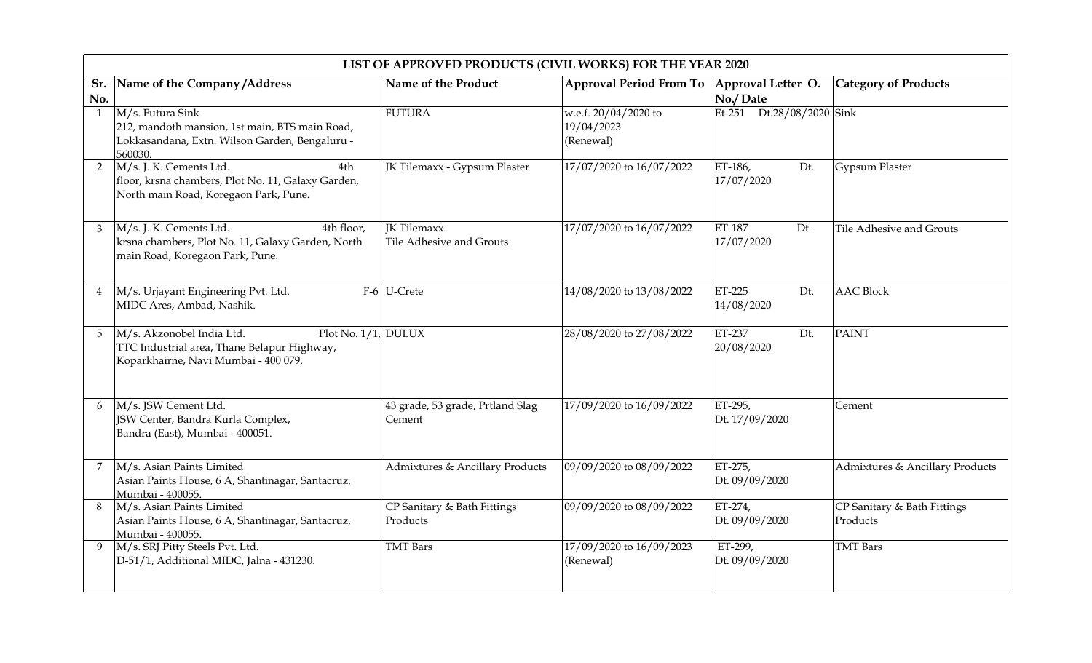|                | LIST OF APPROVED PRODUCTS (CIVIL WORKS) FOR THE YEAR 2020                                                                                   |                                                |                                                 |                              |                                         |  |  |
|----------------|---------------------------------------------------------------------------------------------------------------------------------------------|------------------------------------------------|-------------------------------------------------|------------------------------|-----------------------------------------|--|--|
| Sr.<br>No.     | Name of the Company / Address                                                                                                               | Name of the Product                            | Approval Period From To   Approval Letter O.    | No./Date                     | <b>Category of Products</b>             |  |  |
| $\mathbf{1}$   | M/s. Futura Sink<br>212, mandoth mansion, 1st main, BTS main Road,<br>Lokkasandana, Extn. Wilson Garden, Bengaluru -<br>560030.             | <b>FUTURA</b>                                  | w.e.f. 20/04/2020 to<br>19/04/2023<br>(Renewal) | Dt.28/08/2020 Sink<br>Et-251 |                                         |  |  |
| $\overline{2}$ | M/s. J. K. Cements Ltd.<br>4th<br>floor, krsna chambers, Plot No. 11, Galaxy Garden,<br>North main Road, Koregaon Park, Pune.               | JK Tilemaxx - Gypsum Plaster                   | 17/07/2020 to 16/07/2022                        | ET-186,<br>Dt.<br>17/07/2020 | Gypsum Plaster                          |  |  |
| 3              | M/s. J. K. Cements Ltd.<br>$\overline{4}$ th floor,<br>krsna chambers, Plot No. 11, Galaxy Garden, North<br>main Road, Koregaon Park, Pune. | <b>IK Tilemaxx</b><br>Tile Adhesive and Grouts | 17/07/2020 to 16/07/2022                        | ET-187<br>Dt.<br>17/07/2020  | Tile Adhesive and Grouts                |  |  |
| 4              | M/s. Urjayant Engineering Pvt. Ltd.<br>MIDC Ares, Ambad, Nashik.                                                                            | $F-6$ U-Crete                                  | 14/08/2020 to 13/08/2022                        | ET-225<br>Dt.<br>14/08/2020  | <b>AAC Block</b>                        |  |  |
| 5              | M/s. Akzonobel India Ltd.<br>Plot No. $1/1$ , DULUX<br>TTC Industrial area, Thane Belapur Highway,<br>Koparkhairne, Navi Mumbai - 400 079.  |                                                | 28/08/2020 to 27/08/2022                        | ET-237<br>Dt.<br>20/08/2020  | <b>PAINT</b>                            |  |  |
| 6              | M/s. JSW Cement Ltd.<br>JSW Center, Bandra Kurla Complex,<br>Bandra (East), Mumbai - 400051.                                                | 43 grade, 53 grade, Prtland Slag<br>Cement     | 17/09/2020 to 16/09/2022                        | ET-295,<br>Dt. 17/09/2020    | Cement                                  |  |  |
| 7              | M/s. Asian Paints Limited<br>Asian Paints House, 6 A, Shantinagar, Santacruz,<br>Mumbai - 400055.                                           | Admixtures & Ancillary Products                | 09/09/2020 to 08/09/2022                        | ET-275,<br>Dt. 09/09/2020    | Admixtures & Ancillary Products         |  |  |
| 8              | M/s. Asian Paints Limited<br>Asian Paints House, 6 A, Shantinagar, Santacruz,<br>Mumbai - 400055.                                           | CP Sanitary & Bath Fittings<br>Products        | 09/09/2020 to 08/09/2022                        | ET-274,<br>Dt. 09/09/2020    | CP Sanitary & Bath Fittings<br>Products |  |  |
| 9              | M/s. SRJ Pitty Steels Pvt. Ltd.<br>D-51/1, Additional MIDC, Jalna - 431230.                                                                 | <b>TMT</b> Bars                                | 17/09/2020 to 16/09/2023<br>(Renewal)           | ET-299,<br>Dt. 09/09/2020    | <b>TMT</b> Bars                         |  |  |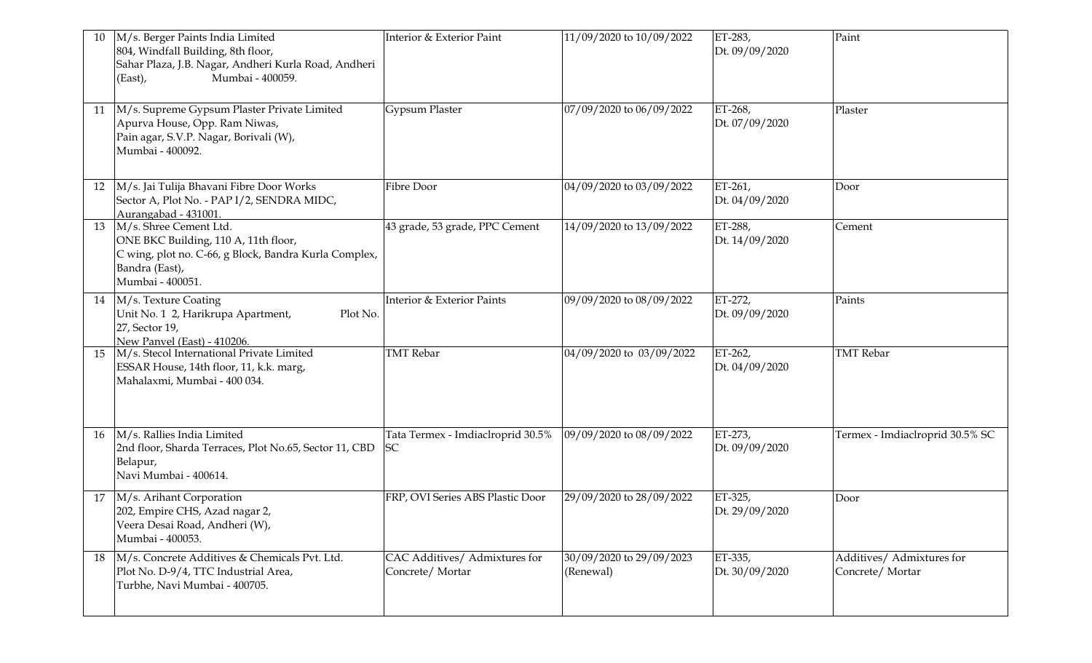| 10 | M/s. Berger Paints India Limited<br>804, Windfall Building, 8th floor,<br>Sahar Plaza, J.B. Nagar, Andheri Kurla Road, Andheri<br>Mumbai - 400059.<br>(East), | Interior & Exterior Paint                        | 11/09/2020 to 10/09/2022              | ET-283,<br>Dt. 09/09/2020 | Paint                                        |
|----|---------------------------------------------------------------------------------------------------------------------------------------------------------------|--------------------------------------------------|---------------------------------------|---------------------------|----------------------------------------------|
| 11 | M/s. Supreme Gypsum Plaster Private Limited<br>Apurva House, Opp. Ram Niwas,<br>Pain agar, S.V.P. Nagar, Borivali (W),<br>Mumbai - 400092.                    | Gypsum Plaster                                   | 07/09/2020 to 06/09/2022              | ET-268,<br>Dt. 07/09/2020 | Plaster                                      |
| 12 | M/s. Jai Tulija Bhavani Fibre Door Works<br>Sector A, Plot No. - PAP I/2, SENDRA MIDC,<br>Aurangabad - 431001.                                                | Fibre Door                                       | 04/09/2020 to 03/09/2022              | ET-261,<br>Dt. 04/09/2020 | Door                                         |
| 13 | M/s. Shree Cement Ltd.<br>ONE BKC Building, 110 A, 11th floor,<br>C wing, plot no. C-66, g Block, Bandra Kurla Complex,<br>Bandra (East),<br>Mumbai - 400051. | 43 grade, 53 grade, PPC Cement                   | 14/09/2020 to 13/09/2022              | ET-288,<br>Dt. 14/09/2020 | Cement                                       |
| 14 | M/s. Texture Coating<br>Unit No. 1 2, Harikrupa Apartment,<br>Plot No.<br>27, Sector 19,<br>New Panvel (East) - 410206.                                       | Interior & Exterior Paints                       | 09/09/2020 to 08/09/2022              | ET-272,<br>Dt. 09/09/2020 | Paints                                       |
| 15 | M/s. Stecol International Private Limited<br>ESSAR House, 14th floor, 11, k.k. marg,<br>Mahalaxmi, Mumbai - 400 034.                                          | <b>TMT</b> Rebar                                 | 04/09/2020 to 03/09/2022              | ET-262,<br>Dt. 04/09/2020 | <b>TMT</b> Rebar                             |
| 16 | M/s. Rallies India Limited<br>2nd floor, Sharda Terraces, Plot No.65, Sector 11, CBD<br>Belapur,<br>Navi Mumbai - 400614.                                     | Tata Termex - Imdiaclroprid 30.5%<br>SC          | 09/09/2020 to 08/09/2022              | ET-273,<br>Dt. 09/09/2020 | Termex - Imdiaclroprid 30.5% SC              |
| 17 | M/s. Arihant Corporation<br>202, Empire CHS, Azad nagar 2,<br>Veera Desai Road, Andheri (W),<br>Mumbai - 400053.                                              | FRP, OVI Series ABS Plastic Door                 | 29/09/2020 to 28/09/2022              | ET-325,<br>Dt. 29/09/2020 | Door                                         |
| 18 | M/s. Concrete Additives & Chemicals Pvt. Ltd.<br>Plot No. D-9/4, TTC Industrial Area,<br>Turbhe, Navi Mumbai - 400705.                                        | CAC Additives/ Admixtures for<br>Concrete/Mortar | 30/09/2020 to 29/09/2023<br>(Renewal) | ET-335,<br>Dt. 30/09/2020 | Additives/ Admixtures for<br>Concrete/Mortar |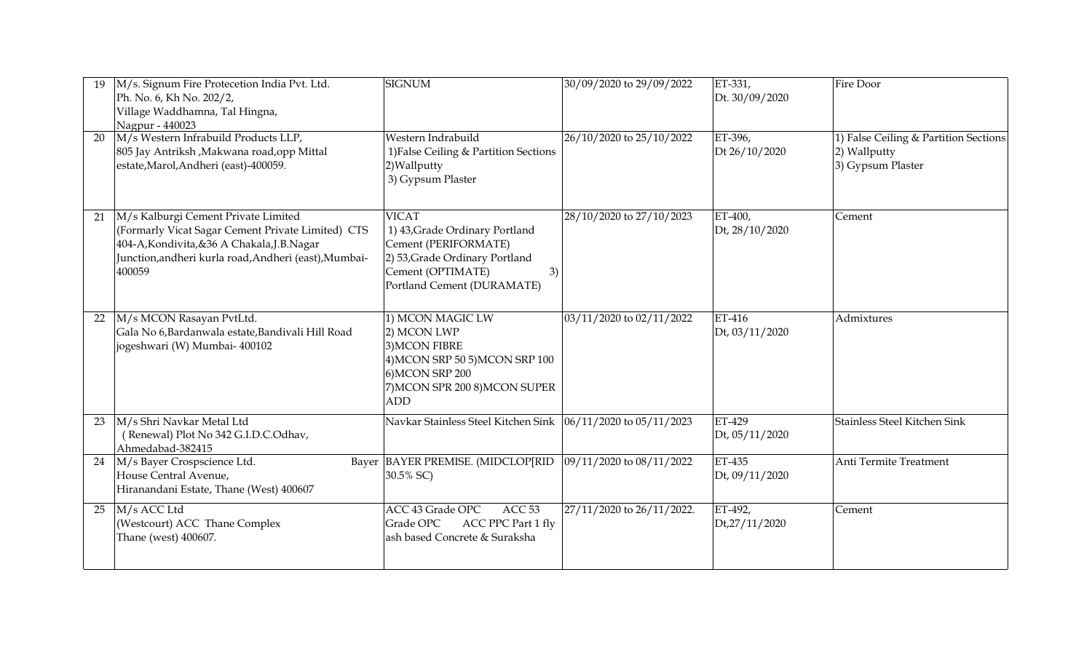| 19 | M/s. Signum Fire Protecetion India Pvt. Ltd.<br>Ph. No. 6, Kh No. 202/2,<br>Village Waddhamna, Tal Hingna,<br>Nagpur - 440023                                                                               | <b>SIGNUM</b>                                                                                                                                                     | 30/09/2020 to 29/09/2022  | ET-331,<br>Dt. 30/09/2020 | Fire Door                                                                  |
|----|-------------------------------------------------------------------------------------------------------------------------------------------------------------------------------------------------------------|-------------------------------------------------------------------------------------------------------------------------------------------------------------------|---------------------------|---------------------------|----------------------------------------------------------------------------|
| 20 | M/s Western Infrabuild Products LLP,<br>805 Jay Antriksh, Makwana road, opp Mittal<br>estate, Marol, Andheri (east)-400059.                                                                                 | Western Indrabuild<br>1) False Ceiling & Partition Sections<br>2) Wallputty<br>3) Gypsum Plaster                                                                  | 26/10/2020 to 25/10/2022  | ET-396,<br>Dt 26/10/2020  | 1) False Ceiling & Partition Sections<br>2) Wallputty<br>3) Gypsum Plaster |
| 21 | M/s Kalburgi Cement Private Limited<br>(Formarly Vicat Sagar Cement Private Limited) CTS<br>404-A, Kondivita, & 36 A Chakala, J.B. Nagar<br>Junction, andheri kurla road, Andheri (east), Mumbai-<br>400059 | <b>VICAT</b><br>1) 43, Grade Ordinary Portland<br>Cement (PERIFORMATE)<br>2) 53, Grade Ordinary Portland<br>Cement (OPTIMATE)<br>3)<br>Portland Cement (DURAMATE) | 28/10/2020 to 27/10/2023  | ET-400,<br>Dt, 28/10/2020 | Cement                                                                     |
| 22 | M/s MCON Rasayan PvtLtd.<br>Gala No 6, Bardanwala estate, Bandivali Hill Road<br>jogeshwari (W) Mumbai- 400102                                                                                              | 1) MCON MAGIC LW<br>2) MCON LWP<br>3) MCON FIBRE<br>4) MCON SRP 50 5) MCON SRP 100<br>6) MCON SRP 200<br>7) MCON SPR 200 8) MCON SUPER<br><b>ADD</b>              | 03/11/2020 to 02/11/2022  | ET-416<br>Dt, 03/11/2020  | Admixtures                                                                 |
| 23 | M/s Shri Navkar Metal Ltd<br>(Renewal) Plot No 342 G.I.D.C.Odhav,<br>Ahmedabad-382415                                                                                                                       | Navkar Stainless Steel Kitchen Sink                                                                                                                               | 06/11/2020 to 05/11/2023  | ET-429<br>Dt, 05/11/2020  | Stainless Steel Kitchen Sink                                               |
| 24 | M/s Bayer Crospscience Ltd.<br>House Central Avenue,<br>Hiranandani Estate, Thane (West) 400607                                                                                                             | Bayer BAYER PREMISE. (MIDCLOP[RID<br>30.5% SC)                                                                                                                    | 09/11/2020 to 08/11/2022  | ET-435<br>Dt, 09/11/2020  | Anti Termite Treatment                                                     |
| 25 | M/s ACC Ltd<br>(Westcourt) ACC Thane Complex<br>Thane (west) 400607.                                                                                                                                        | ACC <sub>53</sub><br>ACC 43 Grade OPC<br>Grade OPC<br>ACC PPC Part 1 fly<br>ash based Concrete & Suraksha                                                         | 27/11/2020 to 26/11/2022. | ET-492,<br>Dt,27/11/2020  | Cement                                                                     |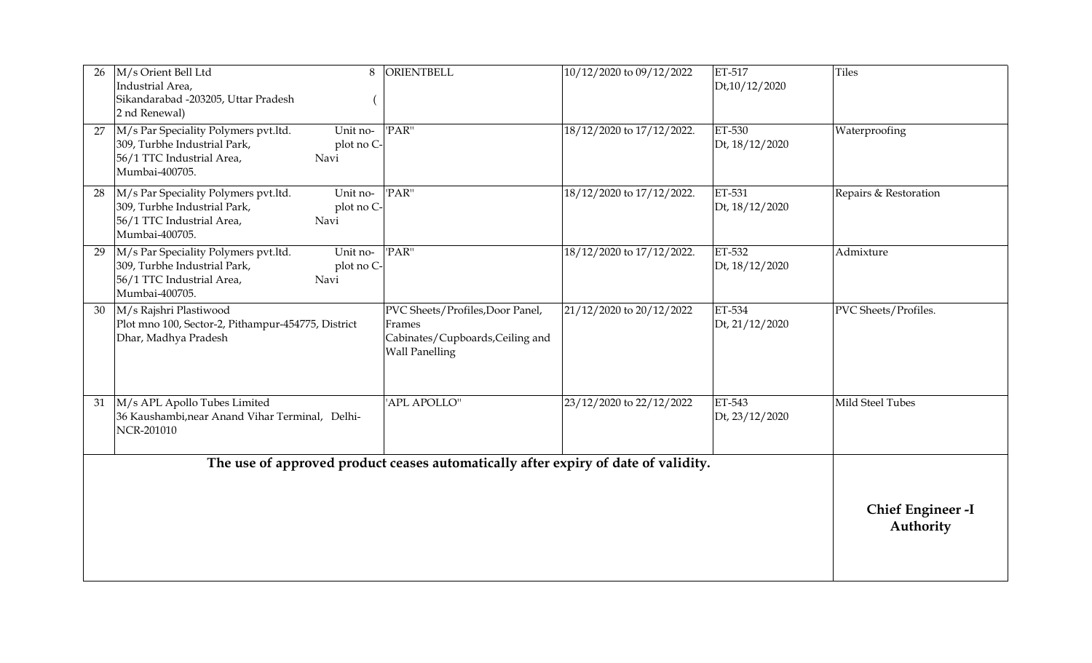| 26 | M/s Orient Bell Ltd<br>8<br>Industrial Area,<br>Sikandarabad -203205, Uttar Pradesh<br>2 nd Renewal)                                                               | <b>ORIENTBELL</b>                                                                                       | 10/12/2020 to 09/12/2022  | ET-517<br>Dt,10/12/2020  | <b>Tiles</b>                         |
|----|--------------------------------------------------------------------------------------------------------------------------------------------------------------------|---------------------------------------------------------------------------------------------------------|---------------------------|--------------------------|--------------------------------------|
| 27 | M/s Par Speciality Polymers pvt.ltd.<br>$\overline{$ Unit no-<br>309, Turbhe Industrial Park,<br>plot no C-<br>56/1 TTC Industrial Area,<br>Navi<br>Mumbai-400705. | 'PAR"                                                                                                   | 18/12/2020 to 17/12/2022. | ET-530<br>Dt, 18/12/2020 | Waterproofing                        |
| 28 | M/s Par Speciality Polymers pvt.ltd.<br>Unit no-<br>309, Turbhe Industrial Park,<br>plot no C-<br>56/1 TTC Industrial Area,<br>Navi<br>Mumbai-400705.              | 'PAR"                                                                                                   | 18/12/2020 to 17/12/2022. | ET-531<br>Dt, 18/12/2020 | Repairs & Restoration                |
| 29 | M/s Par Speciality Polymers pvt.ltd.<br>Unit no-<br>309, Turbhe Industrial Park,<br>plot no C-<br>56/1 TTC Industrial Area,<br>Navi<br>Mumbai-400705.              | 'PAR"                                                                                                   | 18/12/2020 to 17/12/2022. | ET-532<br>Dt, 18/12/2020 | Admixture                            |
| 30 | M/s Rajshri Plastiwood<br>Plot mno 100, Sector-2, Pithampur-454775, District<br>Dhar, Madhya Pradesh                                                               | PVC Sheets/Profiles, Door Panel,<br>Frames<br>Cabinates/Cupboards, Ceiling and<br><b>Wall Panelling</b> | 21/12/2020 to 20/12/2022  | ET-534<br>Dt, 21/12/2020 | PVC Sheets/Profiles.                 |
| 31 | M/s APL Apollo Tubes Limited<br>36 Kaushambi, near Anand Vihar Terminal, Delhi-<br>NCR-201010                                                                      | 'APL APOLLO"                                                                                            | 23/12/2020 to 22/12/2022  | ET-543<br>Dt, 23/12/2020 | Mild Steel Tubes                     |
|    |                                                                                                                                                                    | The use of approved product ceases automatically after expiry of date of validity.                      |                           |                          |                                      |
|    |                                                                                                                                                                    |                                                                                                         |                           |                          | <b>Chief Engineer-I</b><br>Authority |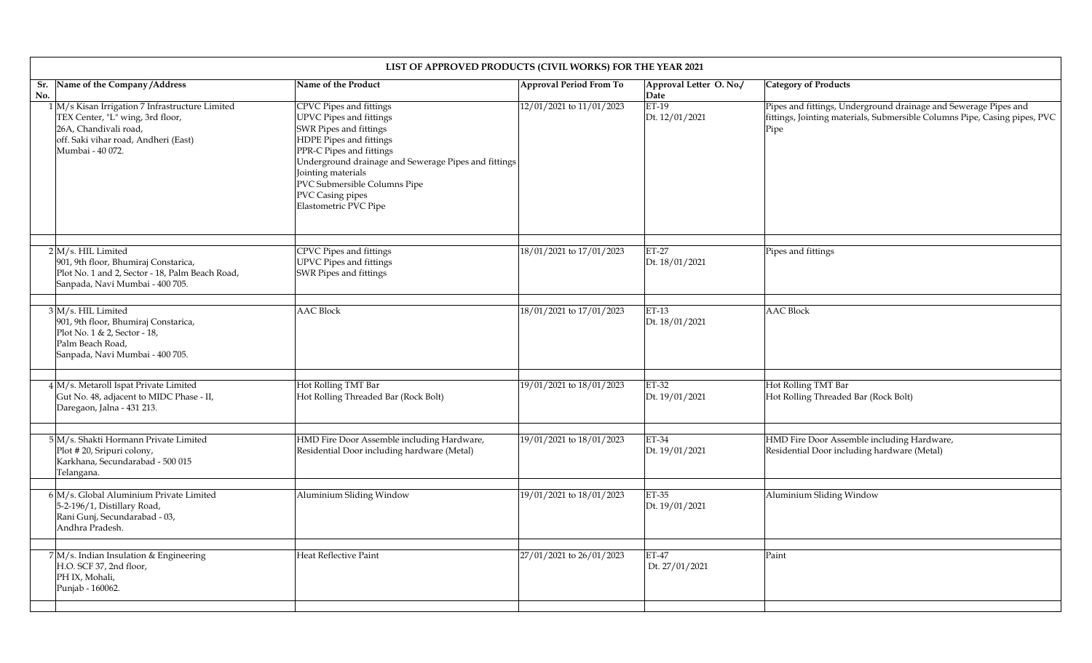|            | LIST OF APPROVED PRODUCTS (CIVIL WORKS) FOR THE YEAR 2021                                                                                                                |                                                                                                                                                                                                                                                                                                |                          |                                 |                                                                                                                                                      |  |
|------------|--------------------------------------------------------------------------------------------------------------------------------------------------------------------------|------------------------------------------------------------------------------------------------------------------------------------------------------------------------------------------------------------------------------------------------------------------------------------------------|--------------------------|---------------------------------|------------------------------------------------------------------------------------------------------------------------------------------------------|--|
| Sr.<br>No. | Name of the Company/Address                                                                                                                                              | Name of the Product                                                                                                                                                                                                                                                                            | Approval Period From To  | Approval Letter O. No./<br>Date | <b>Category of Products</b>                                                                                                                          |  |
|            | 1 M/s Kisan Irrigation 7 Infrastructure Limited<br>TEX Center, "L" wing, 3rd floor,<br>26A, Chandivali road,<br>off. Saki vihar road, Andheri (East)<br>Mumbai - 40 072. | CPVC Pipes and fittings<br>UPVC Pipes and fittings<br>SWR Pipes and fittings<br>HDPE Pipes and fittings<br>PPR-C Pipes and fittings<br>Underground drainage and Sewerage Pipes and fittings<br>Jointing materials<br>PVC Submersible Columns Pipe<br>PVC Casing pipes<br>Elastometric PVC Pipe | 12/01/2021 to 11/01/2023 | ET-19<br>Dt. 12/01/2021         | Pipes and fittings, Underground drainage and Sewerage Pipes and<br>fittings, Jointing materials, Submersible Columns Pipe, Casing pipes, PVC<br>Pipe |  |
|            | $2$ M/s. HIL Limited<br>901, 9th floor, Bhumiraj Constarica,<br>Plot No. 1 and 2, Sector - 18, Palm Beach Road,<br>Sanpada, Navi Mumbai - 400 705.                       | CPVC Pipes and fittings<br><b>UPVC Pipes and fittings</b><br>SWR Pipes and fittings                                                                                                                                                                                                            | 18/01/2021 to 17/01/2023 | $ET-27$<br>Dt. 18/01/2021       | Pipes and fittings                                                                                                                                   |  |
|            | 3 M/s. HIL Limited<br>901, 9th floor, Bhumiraj Constarica,<br>Plot No. 1 & 2, Sector - 18,<br>Palm Beach Road,<br>Sanpada, Navi Mumbai - 400 705.                        | <b>AAC</b> Block                                                                                                                                                                                                                                                                               | 18/01/2021 to 17/01/2023 | ET-13<br>Dt. 18/01/2021         | <b>AAC Block</b>                                                                                                                                     |  |
|            | 4 M/s. Metaroll Ispat Private Limited<br>Gut No. 48, adjacent to MIDC Phase - II,<br>Daregaon, Jalna - 431 213.                                                          | Hot Rolling TMT Bar<br>Hot Rolling Threaded Bar (Rock Bolt)                                                                                                                                                                                                                                    | 19/01/2021 to 18/01/2023 | ET-32<br>Dt. 19/01/2021         | Hot Rolling TMT Bar<br>Hot Rolling Threaded Bar (Rock Bolt)                                                                                          |  |
|            | 5 M/s. Shakti Hormann Private Limited<br>Plot #20, Sripuri colony,<br>Karkhana, Secundarabad - 500 015<br>Telangana.                                                     | HMD Fire Door Assemble including Hardware,<br>Residential Door including hardware (Metal)                                                                                                                                                                                                      | 19/01/2021 to 18/01/2023 | <b>ET-34</b><br>Dt. 19/01/2021  | HMD Fire Door Assemble including Hardware,<br>Residential Door including hardware (Metal)                                                            |  |
|            | $6$ M/s. Global Aluminium Private Limited<br>5-2-196/1, Distillary Road,<br>Rani Gunj, Secundarabad - 03,<br>Andhra Pradesh.                                             | Aluminium Sliding Window                                                                                                                                                                                                                                                                       | 19/01/2021 to 18/01/2023 | ET-35<br>Dt. 19/01/2021         | Aluminium Sliding Window                                                                                                                             |  |
|            | $7\text{M/s}$ . Indian Insulation & Engineering<br>H.O. SCF 37, 2nd floor,<br>PH IX, Mohali,<br>Punjab - 160062.                                                         | Heat Reflective Paint                                                                                                                                                                                                                                                                          | 27/01/2021 to 26/01/2023 | $ET-47$<br>Dt. 27/01/2021       | Paint                                                                                                                                                |  |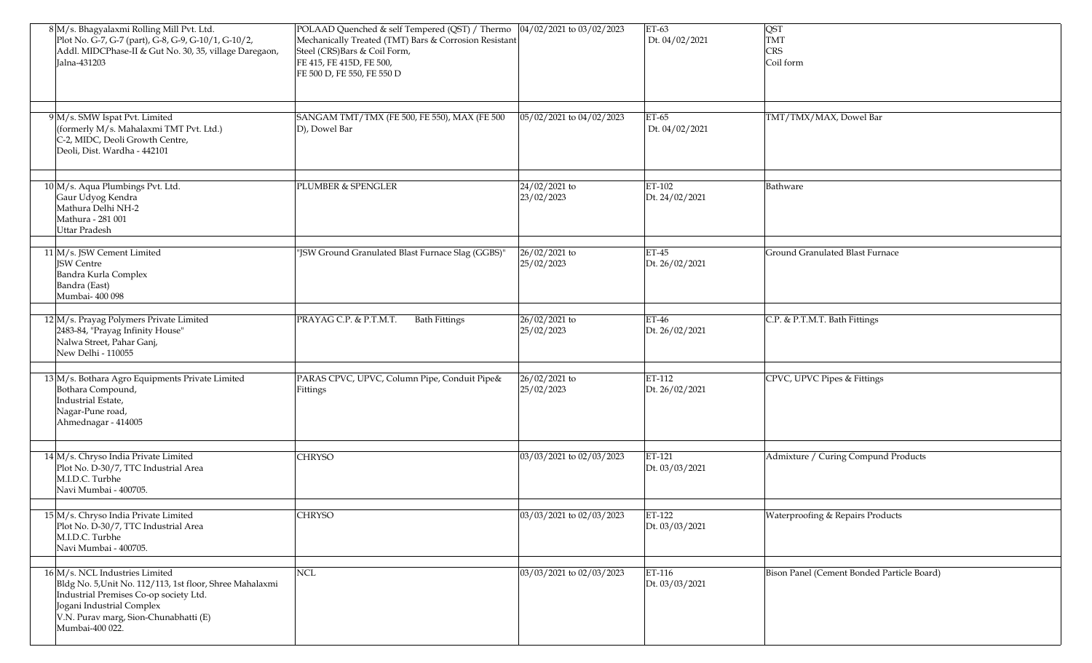| 8 M/s. Bhagyalaxmi Rolling Mill Pvt. Ltd.<br>Plot No. G-7, G-7 (part), G-8, G-9, G-10/1, G-10/2,<br>Addl. MIDCPhase-II & Gut No. 30, 35, village Daregaon,<br>Jalna-431203                                                    | POLAAD Quenched & self Tempered (QST) / Thermo  04/02/2021 to 03/02/2023<br>Mechanically Treated (TMT) Bars & Corrosion Resistant<br>Steel (CRS)Bars & Coil Form,<br>FE 415, FE 415D, FE 500,<br>FE 500 D, FE 550, FE 550 D |                             | $ET-63$<br>Dt. 04/02/2021 | <b>QST</b><br>TMT<br><b>CRS</b><br>Coil form |
|-------------------------------------------------------------------------------------------------------------------------------------------------------------------------------------------------------------------------------|-----------------------------------------------------------------------------------------------------------------------------------------------------------------------------------------------------------------------------|-----------------------------|---------------------------|----------------------------------------------|
| 9 M/s. SMW Ispat Pvt. Limited<br>(formerly M/s. Mahalaxmi TMT Pvt. Ltd.)<br>C-2, MIDC, Deoli Growth Centre,<br>Deoli, Dist. Wardha - 442101                                                                                   | SANGAM TMT/TMX (FE 500, FE 550), MAX (FE 500<br>D), Dowel Bar                                                                                                                                                               | 05/02/2021 to 04/02/2023    | ET-65<br>Dt. 04/02/2021   | TMT/TMX/MAX, Dowel Bar                       |
| 10 M/s. Aqua Plumbings Pvt. Ltd.<br>Gaur Udyog Kendra<br>Mathura Delhi NH-2<br>Mathura - 281 001<br><b>Uttar Pradesh</b>                                                                                                      | <b>PLUMBER &amp; SPENGLER</b>                                                                                                                                                                                               | 24/02/2021 to<br>23/02/2023 | ET-102<br>Dt. 24/02/2021  | Bathware                                     |
| 11 M/s. JSW Cement Limited<br><b>JSW</b> Centre<br>Bandra Kurla Complex<br>Bandra (East)<br>Mumbai- 400 098                                                                                                                   | "JSW Ground Granulated Blast Furnace Slag (GGBS)"                                                                                                                                                                           | 26/02/2021 to<br>25/02/2023 | $ET-45$<br>Dt. 26/02/2021 | Ground Granulated Blast Furnace              |
| 12 M/s. Prayag Polymers Private Limited<br>2483-84, "Prayag Infinity House"<br>Nalwa Street, Pahar Ganj,<br>New Delhi - 110055                                                                                                | <b>Bath Fittings</b><br>PRAYAG C.P. & P.T.M.T.                                                                                                                                                                              | 26/02/2021 to<br>25/02/2023 | $ET-46$<br>Dt. 26/02/2021 | C.P. & P.T.M.T. Bath Fittings                |
| 13 M/s. Bothara Agro Equipments Private Limited<br>Bothara Compound,<br>Industrial Estate,<br>Nagar-Pune road,<br>Ahmednagar - 414005                                                                                         | PARAS CPVC, UPVC, Column Pipe, Conduit Pipe&<br>Fittings                                                                                                                                                                    | 26/02/2021 to<br>25/02/2023 | ET-112<br>Dt. 26/02/2021  | CPVC, UPVC Pipes & Fittings                  |
| 14 M/s. Chryso India Private Limited<br>Plot No. D-30/7, TTC Industrial Area<br>M.I.D.C. Turbhe<br>Navi Mumbai - 400705.                                                                                                      | <b>CHRYSO</b>                                                                                                                                                                                                               | 03/03/2021 to 02/03/2023    | ET-121<br>Dt. 03/03/2021  | Admixture / Curing Compund Products          |
| 15 M/s. Chryso India Private Limited<br>Plot No. D-30/7, TTC Industrial Area<br>M.I.D.C. Turbhe<br>Navi Mumbai - 400705.                                                                                                      | <b>CHRYSO</b>                                                                                                                                                                                                               | 03/03/2021 to 02/03/2023    | ET-122<br>Dt. 03/03/2021  | <b>Waterproofing &amp; Repairs Products</b>  |
| 16 M/s. NCL Industries Limited<br>Bldg No. 5, Unit No. 112/113, 1st floor, Shree Mahalaxmi<br>Industrial Premises Co-op society Ltd.<br>Jogani Industrial Complex<br>V.N. Purav marg, Sion-Chunabhatti (E)<br>Mumbai-400 022. | <b>NCL</b>                                                                                                                                                                                                                  | 03/03/2021 to 02/03/2023    | ET-116<br>Dt. 03/03/2021  | Bison Panel (Cement Bonded Particle Board)   |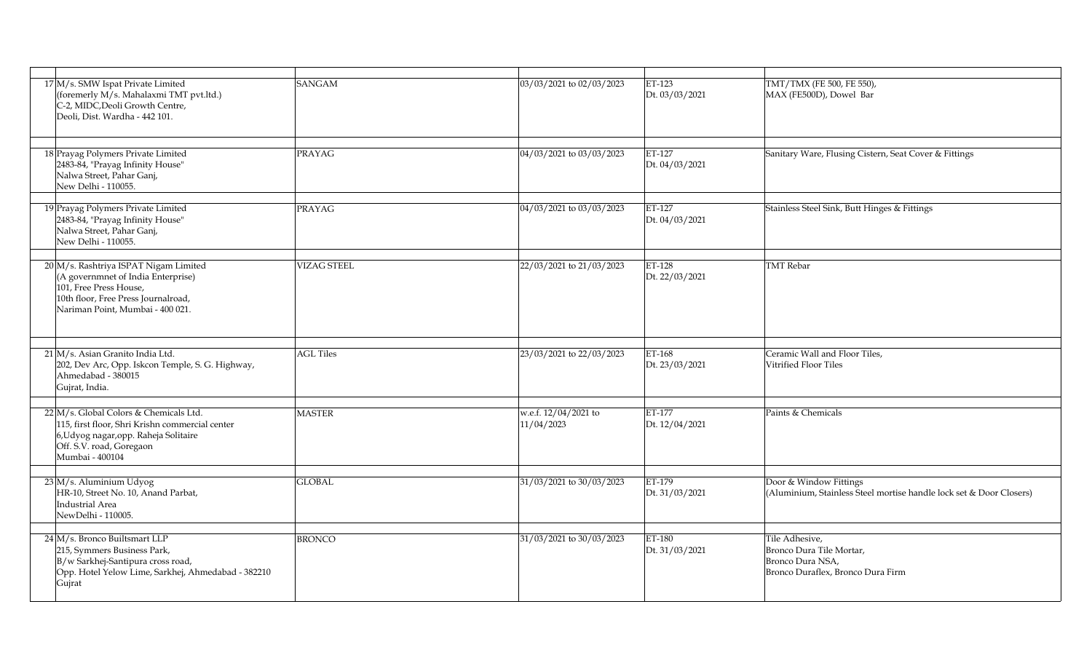| 17 M/s. SMW Ispat Private Limited<br>(foremerly M/s. Mahalaxmi TMT pvt.ltd.)<br>C-2, MIDC, Deoli Growth Centre,<br>Deoli, Dist. Wardha - 442 101.                                 | <b>SANGAM</b>      | 03/03/2021 to 02/03/2023           | ET-123<br>Dt. 03/03/2021 | TMT/TMX (FE 500, FE 550),<br>MAX (FE500D), Dowel Bar                                                |
|-----------------------------------------------------------------------------------------------------------------------------------------------------------------------------------|--------------------|------------------------------------|--------------------------|-----------------------------------------------------------------------------------------------------|
|                                                                                                                                                                                   |                    |                                    |                          |                                                                                                     |
| 18 Prayag Polymers Private Limited<br>2483-84, "Prayag Infinity House"<br>Nalwa Street, Pahar Ganj,<br>New Delhi - 110055.                                                        | <b>PRAYAG</b>      | 04/03/2021 to 03/03/2023           | ET-127<br>Dt. 04/03/2021 | Sanitary Ware, Flusing Cistern, Seat Cover & Fittings                                               |
| 19 Prayag Polymers Private Limited<br>2483-84, "Prayag Infinity House"<br>Nalwa Street, Pahar Ganj,<br>New Delhi - 110055.                                                        | <b>PRAYAG</b>      | $\sqrt{04/03/2021}$ to 03/03/2023  | ET-127<br>Dt. 04/03/2021 | Stainless Steel Sink, Butt Hinges & Fittings                                                        |
| 20 M/s. Rashtriya ISPAT Nigam Limited<br>(A governmnet of India Enterprise)<br>101, Free Press House,<br>10th floor, Free Press Journalroad,<br>Nariman Point, Mumbai - 400 021.  | <b>VIZAG STEEL</b> | 22/03/2021 to 21/03/2023           | ET-128<br>Dt. 22/03/2021 | <b>TMT</b> Rebar                                                                                    |
|                                                                                                                                                                                   |                    |                                    |                          |                                                                                                     |
| 21 M/s. Asian Granito India Ltd.<br>202, Dev Arc, Opp. Iskcon Temple, S. G. Highway,<br>Ahmedabad - 380015<br>Gujrat, India.                                                      | <b>AGL Tiles</b>   | 23/03/2021 to 22/03/2023           | ET-168<br>Dt. 23/03/2021 | Ceramic Wall and Floor Tiles,<br>Vitrified Floor Tiles                                              |
|                                                                                                                                                                                   |                    |                                    |                          |                                                                                                     |
| 22 M/s. Global Colors & Chemicals Ltd.<br>115, first floor, Shri Krishn commercial center<br>6, Udyog nagar, opp. Raheja Solitaire<br>Off. S.V. road, Goregaon<br>Mumbai - 400104 | <b>MASTER</b>      | w.e.f. 12/04/2021 to<br>11/04/2023 | ET-177<br>Dt. 12/04/2021 | Paints & Chemicals                                                                                  |
|                                                                                                                                                                                   |                    |                                    |                          |                                                                                                     |
| $23 \, M/s$ . Aluminium Udyog<br>HR-10, Street No. 10, Anand Parbat,<br>Industrial Area<br>NewDelhi - 110005.                                                                     | <b>GLOBAL</b>      | 31/03/2021 to 30/03/2023           | ET-179<br>Dt. 31/03/2021 | Door & Window Fittings<br>(Aluminium, Stainless Steel mortise handle lock set & Door Closers)       |
| 24 M/s. Bronco Builtsmart LLP<br>215, Symmers Business Park,<br>B/w Sarkhej-Santipura cross road,<br>Opp. Hotel Yelow Lime, Sarkhej, Ahmedabad - 382210<br>Gujrat                 | <b>BRONCO</b>      | 31/03/2021 to 30/03/2023           | ET-180<br>Dt. 31/03/2021 | Tile Adhesive,<br>Bronco Dura Tile Mortar,<br>Bronco Dura NSA,<br>Bronco Duraflex, Bronco Dura Firm |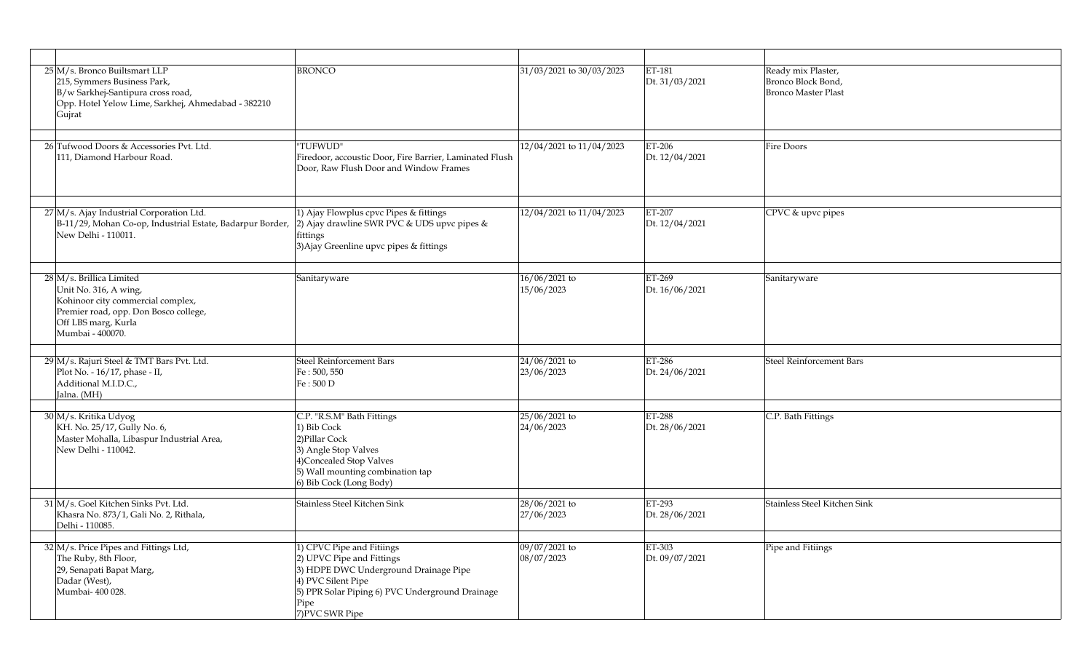| $25 \vert M/s$ . Bronco Builtsmart LLP<br>215, Symmers Business Park,<br>B/w Sarkhej-Santipura cross road,<br>Opp. Hotel Yelow Lime, Sarkhej, Ahmedabad - 382210<br>Gujrat | <b>BRONCO</b>                                                                                                                                                                                       | 31/03/2021 to 30/03/2023    | ET-181<br>Dt. 31/03/2021 | Ready mix Plaster,<br>Bronco Block Bond,<br><b>Bronco Master Plast</b> |
|----------------------------------------------------------------------------------------------------------------------------------------------------------------------------|-----------------------------------------------------------------------------------------------------------------------------------------------------------------------------------------------------|-----------------------------|--------------------------|------------------------------------------------------------------------|
| 26 Tufwood Doors & Accessories Pvt. Ltd.<br>111, Diamond Harbour Road.                                                                                                     | "TUFWUD"<br>Firedoor, accoustic Door, Fire Barrier, Laminated Flush<br>Door, Raw Flush Door and Window Frames                                                                                       | 12/04/2021 to 11/04/2023    | ET-206<br>Dt. 12/04/2021 | <b>Fire Doors</b>                                                      |
| 27 M/s. Ajay Industrial Corporation Ltd.<br>B-11/29, Mohan Co-op, Industrial Estate, Badarpur Border,<br>New Delhi - 110011.                                               | 1) Ajay Flowplus cpvc Pipes & fittings<br>2) Ajay drawline SWR PVC & UDS upvc pipes &<br>fittings<br>3) Ajay Greenline upvc pipes & fittings                                                        | 12/04/2021 to 11/04/2023    | ET-207<br>Dt. 12/04/2021 | CPVC & upvc pipes                                                      |
| 28 M/s. Brillica Limited<br>Unit No. 316, A wing,<br>Kohinoor city commercial complex,<br>Premier road, opp. Don Bosco college,<br>Off LBS marg, Kurla<br>Mumbai - 400070. | Sanitaryware                                                                                                                                                                                        | 16/06/2021 to<br>15/06/2023 | ET-269<br>Dt. 16/06/2021 | Sanitaryware                                                           |
| 29 M/s. Rajuri Steel & TMT Bars Pvt. Ltd.<br>Plot No. - 16/17, phase - II,<br>Additional M.I.D.C.,<br>Jalna. (MH)                                                          | <b>Steel Reinforcement Bars</b><br>Fe: 500, 550<br>Fe: 500 D                                                                                                                                        | 24/06/2021 to<br>23/06/2023 | ET-286<br>Dt. 24/06/2021 | Steel Reinforcement Bars                                               |
| 30 M/s. Kritika Udyog<br>KH. No. 25/17, Gully No. 6,<br>Master Mohalla, Libaspur Industrial Area,<br>New Delhi - 110042.                                                   | C.P. "R.S.M" Bath Fittings<br>1) Bib Cock<br>2) Pillar Cock<br>3) Angle Stop Valves<br>4) Concealed Stop Valves<br>5) Wall mounting combination tap<br>6) Bib Cock (Long Body)                      | 25/06/2021 to<br>24/06/2023 | ET-288<br>Dt. 28/06/2021 | C.P. Bath Fittings                                                     |
| 31 M/s. Goel Kitchen Sinks Pvt. Ltd.<br>Khasra No. 873/1, Gali No. 2, Rithala,<br>Delhi - 110085.                                                                          | Stainless Steel Kitchen Sink                                                                                                                                                                        | 28/06/2021 to<br>27/06/2023 | ET-293<br>Dt. 28/06/2021 | Stainless Steel Kitchen Sink                                           |
| 32 M/s. Price Pipes and Fittings Ltd,<br>The Ruby, 8th Floor,<br>29, Senapati Bapat Marg,<br>Dadar (West),<br>Mumbai- 400 028.                                             | 1) CPVC Pipe and Fitiings<br>2) UPVC Pipe and Fittings<br>3) HDPE DWC Underground Drainage Pipe<br>4) PVC Silent Pipe<br>5) PPR Solar Piping 6) PVC Underground Drainage<br>Pipe<br>7) PVC SWR Pipe | 09/07/2021 to<br>08/07/2023 | ET-303<br>Dt. 09/07/2021 | Pipe and Fitiings                                                      |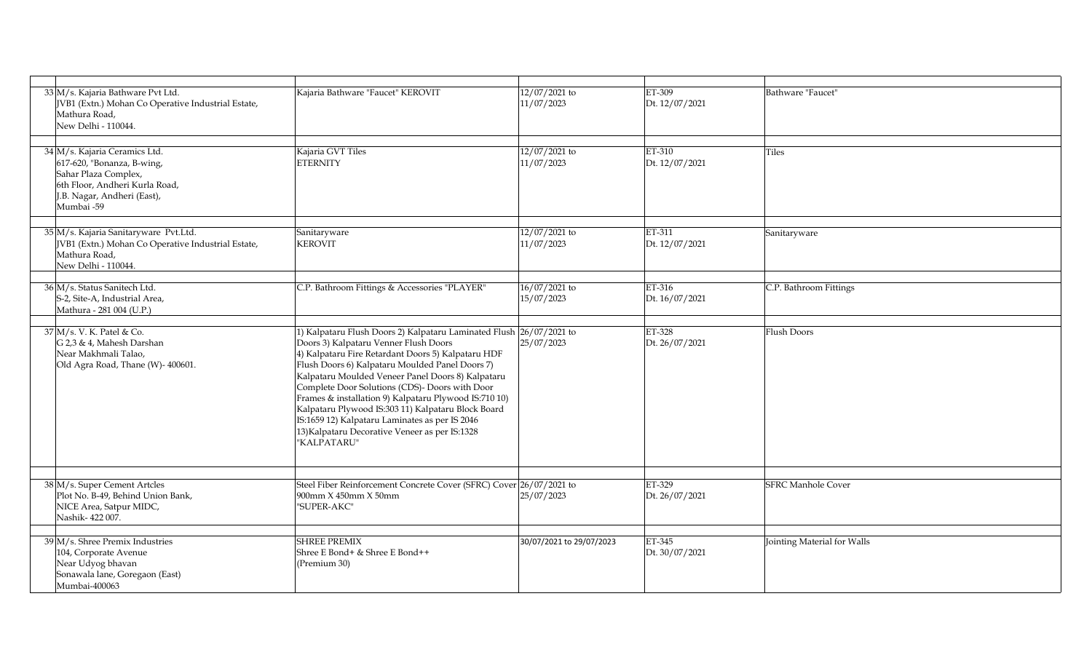| 33 M/s. Kajaria Bathware Pvt Ltd.<br>JVB1 (Extn.) Mohan Co Operative Industrial Estate,<br>Mathura Road,<br>New Delhi - 110044.                                    | Kajaria Bathware "Faucet" KEROVIT                                                                                                                                                                                                                                                                                                                                                                                                                                                                                                                              | 12/07/2021 to<br>11/07/2023 | ET-309<br>Dt. 12/07/2021 | Bathware "Faucet"           |
|--------------------------------------------------------------------------------------------------------------------------------------------------------------------|----------------------------------------------------------------------------------------------------------------------------------------------------------------------------------------------------------------------------------------------------------------------------------------------------------------------------------------------------------------------------------------------------------------------------------------------------------------------------------------------------------------------------------------------------------------|-----------------------------|--------------------------|-----------------------------|
| 34 M/s. Kajaria Ceramics Ltd.<br>617-620, "Bonanza, B-wing,<br>Sahar Plaza Complex,<br>6th Floor, Andheri Kurla Road,<br>J.B. Nagar, Andheri (East),<br>Mumbai -59 | Kajaria GVT Tiles<br><b>ETERNITY</b>                                                                                                                                                                                                                                                                                                                                                                                                                                                                                                                           | 12/07/2021 to<br>11/07/2023 | ET-310<br>Dt. 12/07/2021 | <b>Tiles</b>                |
| 35 M/s. Kajaria Sanitaryware Pvt.Ltd.<br>JVB1 (Extn.) Mohan Co Operative Industrial Estate,<br>Mathura Road,<br>New Delhi - 110044.                                | Sanitaryware<br><b>KEROVIT</b>                                                                                                                                                                                                                                                                                                                                                                                                                                                                                                                                 | 12/07/2021 to<br>11/07/2023 | ET-311<br>Dt. 12/07/2021 | Sanitaryware                |
| 36 M/s. Status Sanitech Ltd.<br>S-2, Site-A, Industrial Area,<br>Mathura - 281 004 (U.P.)                                                                          | C.P. Bathroom Fittings & Accessories "PLAYER"                                                                                                                                                                                                                                                                                                                                                                                                                                                                                                                  | 16/07/2021 to<br>15/07/2023 | ET-316<br>Dt. 16/07/2021 | C.P. Bathroom Fittings      |
| 37 M/s. V. K. Patel & Co.<br>G 2,3 & 4, Mahesh Darshan<br>Near Makhmali Talao,<br>Old Agra Road, Thane (W)- 400601.                                                | 1) Kalpataru Flush Doors 2) Kalpataru Laminated Flush 26/07/2021 to<br>Doors 3) Kalpataru Venner Flush Doors<br>4) Kalpataru Fire Retardant Doors 5) Kalpataru HDF<br>Flush Doors 6) Kalpataru Moulded Panel Doors 7)<br>Kalpataru Moulded Veneer Panel Doors 8) Kalpataru<br>Complete Door Solutions (CDS)- Doors with Door<br>Frames & installation 9) Kalpataru Plywood IS:710 10)<br>Kalpataru Plywood IS:303 11) Kalpataru Block Board<br>IS:1659 12) Kalpataru Laminates as per IS 2046<br>13) Kalpataru Decorative Veneer as per IS:1328<br>"KALPATARU" | 25/07/2023                  | ET-328<br>Dt. 26/07/2021 | <b>Flush Doors</b>          |
| 38 M/s. Super Cement Artcles<br>Plot No. B-49, Behind Union Bank,<br>NICE Area, Satpur MIDC,<br>Nashik-422007.                                                     | Steel Fiber Reinforcement Concrete Cover (SFRC) Cover 26/07/2021 to<br>900mm X 450mm X 50mm<br>"SUPER-AKC"                                                                                                                                                                                                                                                                                                                                                                                                                                                     | 25/07/2023                  | ET-329<br>Dt. 26/07/2021 | <b>SFRC Manhole Cover</b>   |
| $39$ M/s. Shree Premix Industries<br>104, Corporate Avenue<br>Near Udyog bhavan<br>Sonawala lane, Goregaon (East)<br>Mumbai-400063                                 | <b>SHREE PREMIX</b><br>Shree E Bond+ & Shree E Bond++<br>(Premium 30)                                                                                                                                                                                                                                                                                                                                                                                                                                                                                          | 30/07/2021 to 29/07/2023    | ET-345<br>Dt. 30/07/2021 | Jointing Material for Walls |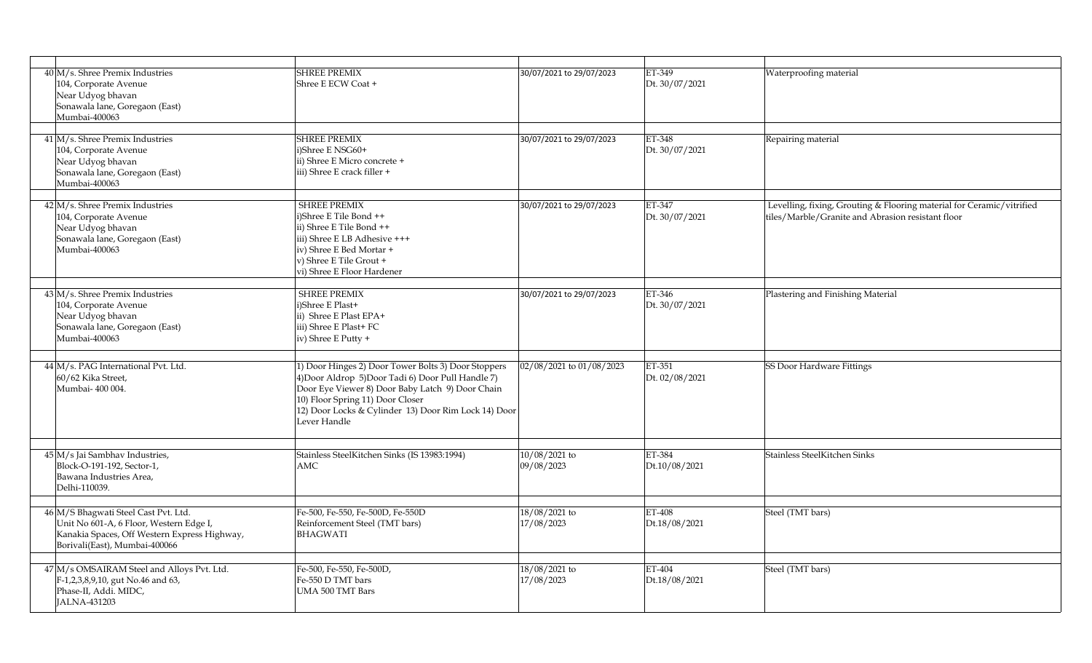| 40 M/s. Shree Premix Industries<br>104, Corporate Avenue<br>Near Udyog bhavan<br>Sonawala lane, Goregaon (East)<br>Mumbai-400063                                 | <b>SHREE PREMIX</b><br>Shree E ECW Coat +                                                                                                                                                                                                                                 | 30/07/2021 to 29/07/2023    | ET-349<br>Dt. 30/07/2021 | Waterproofing material                                                                                                     |
|------------------------------------------------------------------------------------------------------------------------------------------------------------------|---------------------------------------------------------------------------------------------------------------------------------------------------------------------------------------------------------------------------------------------------------------------------|-----------------------------|--------------------------|----------------------------------------------------------------------------------------------------------------------------|
| 41 M/s. Shree Premix Industries<br>104, Corporate Avenue<br>Near Udyog bhavan<br>Sonawala lane, Goregaon (East)<br>Mumbai-400063                                 | <b>SHREE PREMIX</b><br>i)Shree E NSG60+<br>ii) Shree E Micro concrete +<br>iii) Shree E crack filler +                                                                                                                                                                    | 30/07/2021 to 29/07/2023    | ET-348<br>Dt. 30/07/2021 | Repairing material                                                                                                         |
| 42 M/s. Shree Premix Industries<br>104, Corporate Avenue<br>Near Udyog bhavan<br>Sonawala lane, Goregaon (East)<br>Mumbai-400063                                 | <b>SHREE PREMIX</b><br>i)Shree E Tile Bond ++<br>ii) Shree E Tile Bond ++<br>iii) Shree E LB Adhesive +++<br>iv) Shree E Bed Mortar +<br>v) Shree E Tile Grout +<br>vi) Shree E Floor Hardener                                                                            | 30/07/2021 to 29/07/2023    | ET-347<br>Dt. 30/07/2021 | Levelling, fixing, Grouting & Flooring material for Ceramic/vitrified<br>tiles/Marble/Granite and Abrasion resistant floor |
| 43 M/s. Shree Premix Industries<br>104, Corporate Avenue<br>Near Udyog bhavan<br>Sonawala lane, Goregaon (East)<br>Mumbai-400063                                 | <b>SHREE PREMIX</b><br>i)Shree E Plast+<br>ii) Shree E Plast EPA+<br>iii) Shree E Plast+ FC<br>iv) Shree E Putty +                                                                                                                                                        | 30/07/2021 to 29/07/2023    | ET-346<br>Dt. 30/07/2021 | Plastering and Finishing Material                                                                                          |
| 44 M/s. PAG International Pvt. Ltd.<br>60/62 Kika Street,<br>Mumbai- 400 004.                                                                                    | 1) Door Hinges 2) Door Tower Bolts 3) Door Stoppers<br>4) Door Aldrop 5) Door Tadi 6) Door Pull Handle 7)<br>Door Eye Viewer 8) Door Baby Latch 9) Door Chain<br>10) Floor Spring 11) Door Closer<br>12) Door Locks & Cylinder 13) Door Rim Lock 14) Door<br>Lever Handle | 02/08/2021 to 01/08/2023    | ET-351<br>Dt. 02/08/2021 | SS Door Hardware Fittings                                                                                                  |
| 45 M/s Jai Sambhav Industries,<br>Block-O-191-192, Sector-1,<br>Bawana Industries Area,<br>Delhi-110039.                                                         | Stainless SteelKitchen Sinks (IS 13983:1994)<br>AMC                                                                                                                                                                                                                       | 10/08/2021 to<br>09/08/2023 | ET-384<br>Dt.10/08/2021  | Stainless SteelKitchen Sinks                                                                                               |
| 46 M/S Bhagwati Steel Cast Pvt. Ltd.<br>Unit No 601-A, 6 Floor, Western Edge I,<br>Kanakia Spaces, Off Western Express Highway,<br>Borivali(East), Mumbai-400066 | Fe-500, Fe-550, Fe-500D, Fe-550D<br>Reinforcement Steel (TMT bars)<br><b>BHAGWATI</b>                                                                                                                                                                                     | 18/08/2021 to<br>17/08/2023 | ET-408<br>Dt.18/08/2021  | Steel (TMT bars)                                                                                                           |
| 47 M/s OMSAIRAM Steel and Alloys Pvt. Ltd.<br>F-1,2,3,8,9,10, gut No.46 and 63,<br>Phase-II, Addi. MIDC,<br>JALNA-431203                                         | Fe-500, Fe-550, Fe-500D,<br>Fe-550 D TMT bars<br>UMA 500 TMT Bars                                                                                                                                                                                                         | 18/08/2021 to<br>17/08/2023 | ET-404<br>Dt.18/08/2021  | Steel (TMT bars)                                                                                                           |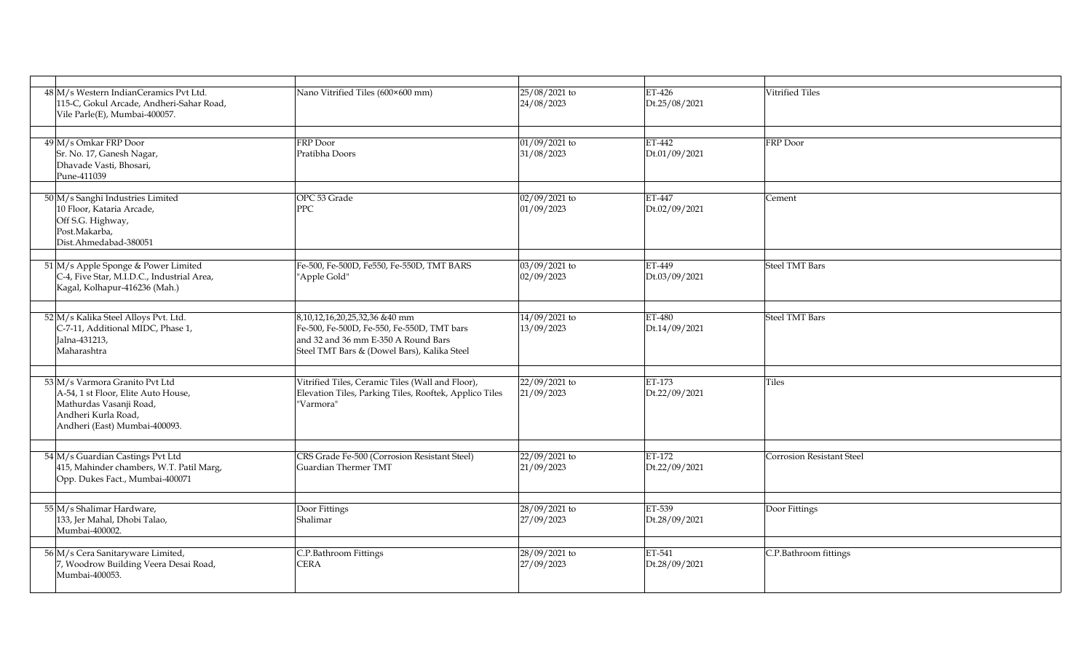| 48 M/s Western IndianCeramics Pvt Ltd.<br>115-C, Gokul Arcade, Andheri-Sahar Road,<br>Vile Parle(E), Mumbai-400057.                                      | Nano Vitrified Tiles (600×600 mm)                                                                                                                                 | 25/08/2021 to<br>24/08/2023 | ET-426<br>Dt.25/08/2021 | Vitrified Tiles           |
|----------------------------------------------------------------------------------------------------------------------------------------------------------|-------------------------------------------------------------------------------------------------------------------------------------------------------------------|-----------------------------|-------------------------|---------------------------|
|                                                                                                                                                          |                                                                                                                                                                   |                             |                         |                           |
| 49 M/s Omkar FRP Door<br>Sr. No. 17, Ganesh Nagar,<br>Dhavade Vasti, Bhosari,<br>Pune-411039                                                             | FRP Door<br>Pratibha Doors                                                                                                                                        | 01/09/2021 to<br>31/08/2023 | ET-442<br>Dt.01/09/2021 | FRP Door                  |
| 50 M/s Sanghi Industries Limited<br>10 Floor, Kataria Arcade,<br>Off S.G. Highway,<br>Post.Makarba,<br>Dist.Ahmedabad-380051                             | OPC 53 Grade<br><b>PPC</b>                                                                                                                                        | 02/09/2021 to<br>01/09/2023 | ET-447<br>Dt.02/09/2021 | Cement                    |
| 51 M/s Apple Sponge & Power Limited<br>C-4, Five Star, M.I.D.C., Industrial Area,<br>Kagal, Kolhapur-416236 (Mah.)                                       | Fe-500, Fe-500D, Fe550, Fe-550D, TMT BARS<br>"Apple Gold"                                                                                                         | 03/09/2021 to<br>02/09/2023 | ET-449<br>Dt.03/09/2021 | Steel TMT Bars            |
| 52 M/s Kalika Steel Alloys Pvt. Ltd.<br>C-7-11, Additional MIDC, Phase 1,<br>Jalna-431213,<br>Maharashtra                                                | 8,10,12,16,20,25,32,36 &40 mm<br>Fe-500, Fe-500D, Fe-550, Fe-550D, TMT bars<br>and 32 and 36 mm E-350 A Round Bars<br>Steel TMT Bars & (Dowel Bars), Kalika Steel | 14/09/2021 to<br>13/09/2023 | ET-480<br>Dt.14/09/2021 | <b>Steel TMT Bars</b>     |
| 53 M/s Varmora Granito Pvt Ltd<br>A-54, 1 st Floor, Elite Auto House,<br>Mathurdas Vasanji Road,<br>Andheri Kurla Road,<br>Andheri (East) Mumbai-400093. | Vitrified Tiles, Ceramic Tiles (Wall and Floor),<br>Elevation Tiles, Parking Tiles, Rooftek, Applico Tiles<br>"Varmora"                                           | 22/09/2021 to<br>21/09/2023 | ET-173<br>Dt.22/09/2021 | <b>Tiles</b>              |
| 54 M/s Guardian Castings Pvt Ltd<br>415, Mahinder chambers, W.T. Patil Marg,<br>Opp. Dukes Fact., Mumbai-400071                                          | CRS Grade Fe-500 (Corrosion Resistant Steel)<br>Guardian Thermer TMT                                                                                              | 22/09/2021 to<br>21/09/2023 | ET-172<br>Dt.22/09/2021 | Corrosion Resistant Steel |
| 55 M/s Shalimar Hardware,<br>133, Jer Mahal, Dhobi Talao,<br>Mumbai-400002.                                                                              | Door Fittings<br>Shalimar                                                                                                                                         | 28/09/2021 to<br>27/09/2023 | ET-539<br>Dt.28/09/2021 | Door Fittings             |
| 56 M/s Cera Sanitaryware Limited,<br>7, Woodrow Building Veera Desai Road,<br>Mumbai-400053.                                                             | C.P.Bathroom Fittings<br><b>CERA</b>                                                                                                                              | 28/09/2021 to<br>27/09/2023 | ET-541<br>Dt.28/09/2021 | C.P.Bathroom fittings     |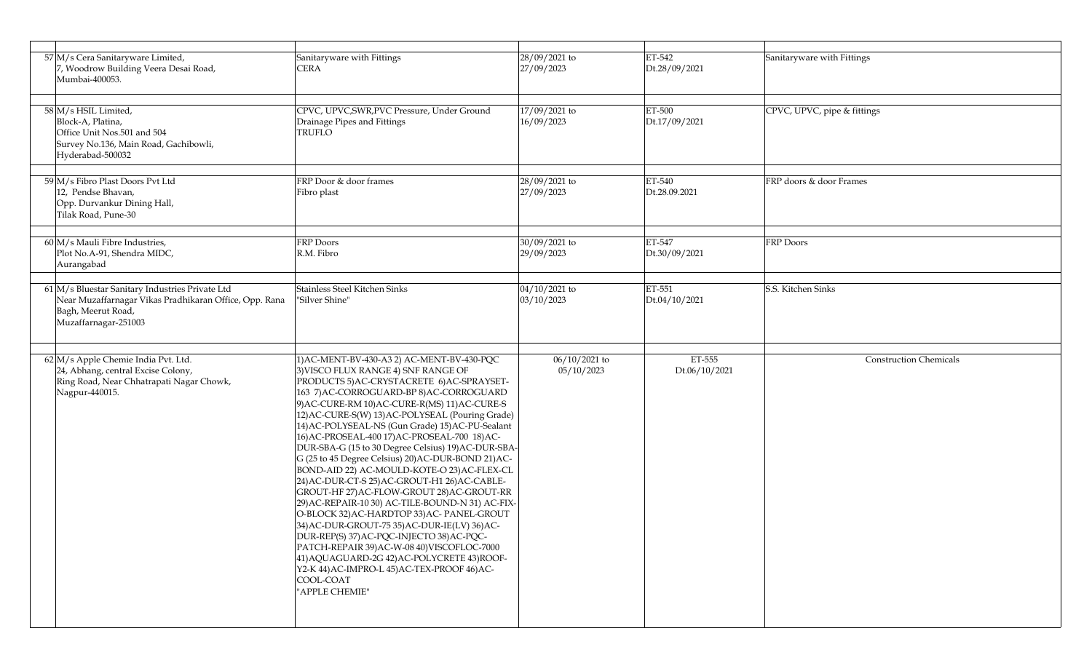| 57 M/s Cera Sanitaryware Limited,<br>7, Woodrow Building Veera Desai Road,<br>Mumbai-400053.                                                            | Sanitaryware with Fittings<br><b>CERA</b>                                                                                                                                                                                                                                                                                                                                                                                                                                                                                                                                                                                                                                                                                                                                                                                                                                                                                                                                                                                      | 28/09/2021 to<br>27/09/2023 | ET-542<br>Dt.28/09/2021 | Sanitaryware with Fittings    |
|---------------------------------------------------------------------------------------------------------------------------------------------------------|--------------------------------------------------------------------------------------------------------------------------------------------------------------------------------------------------------------------------------------------------------------------------------------------------------------------------------------------------------------------------------------------------------------------------------------------------------------------------------------------------------------------------------------------------------------------------------------------------------------------------------------------------------------------------------------------------------------------------------------------------------------------------------------------------------------------------------------------------------------------------------------------------------------------------------------------------------------------------------------------------------------------------------|-----------------------------|-------------------------|-------------------------------|
| 58 M/s HSIL Limited,<br>Block-A, Platina,<br>Office Unit Nos.501 and 504<br>Survey No.136, Main Road, Gachibowli,<br>Hyderabad-500032                   | CPVC, UPVC, SWR, PVC Pressure, Under Ground<br>Drainage Pipes and Fittings<br><b>TRUFLO</b>                                                                                                                                                                                                                                                                                                                                                                                                                                                                                                                                                                                                                                                                                                                                                                                                                                                                                                                                    | 17/09/2021 to<br>16/09/2023 | ET-500<br>Dt.17/09/2021 | CPVC, UPVC, pipe & fittings   |
| 59 M/s Fibro Plast Doors Pvt Ltd<br>12, Pendse Bhavan,<br>Opp. Durvankur Dining Hall,<br>Tilak Road, Pune-30                                            | FRP Door & door frames<br>Fibro plast                                                                                                                                                                                                                                                                                                                                                                                                                                                                                                                                                                                                                                                                                                                                                                                                                                                                                                                                                                                          | 28/09/2021 to<br>27/09/2023 | ET-540<br>Dt.28.09.2021 | FRP doors & door Frames       |
| 60 M/s Mauli Fibre Industries,<br>Plot No.A-91, Shendra MIDC,<br>Aurangabad                                                                             | FRP Doors<br>R.M. Fibro                                                                                                                                                                                                                                                                                                                                                                                                                                                                                                                                                                                                                                                                                                                                                                                                                                                                                                                                                                                                        | 30/09/2021 to<br>29/09/2023 | ET-547<br>Dt.30/09/2021 | <b>FRP</b> Doors              |
| 61 M/s Bluestar Sanitary Industries Private Ltd<br>Near Muzaffarnagar Vikas Pradhikaran Office, Opp. Rana<br>Bagh, Meerut Road,<br>Muzaffarnagar-251003 | Stainless Steel Kitchen Sinks<br>"Silver Shine"                                                                                                                                                                                                                                                                                                                                                                                                                                                                                                                                                                                                                                                                                                                                                                                                                                                                                                                                                                                | 04/10/2021 to<br>03/10/2023 | ET-551<br>Dt.04/10/2021 | S.S. Kitchen Sinks            |
| 62 M/s Apple Chemie India Pvt. Ltd.<br>24, Abhang, central Excise Colony,<br>Ring Road, Near Chhatrapati Nagar Chowk,<br>Nagpur-440015.                 | 1) AC-MENT-BV-430-A3 2) AC-MENT-BV-430-PQC<br>3) VISCO FLUX RANGE 4) SNF RANGE OF<br>PRODUCTS 5) AC-CRYSTACRETE 6) AC-SPRAYSET-<br>163 7) AC-CORROGUARD-BP 8) AC-CORROGUARD<br>9) AC-CURE-RM 10) AC-CURE-R(MS) 11) AC-CURE-S<br>12) AC-CURE-S(W) 13) AC-POLYSEAL (Pouring Grade)<br>14) AC-POLYSEAL-NS (Gun Grade) 15) AC-PU-Sealant<br>16) AC-PROSEAL-400 17) AC-PROSEAL-700 18) AC-<br>DUR-SBA-G (15 to 30 Degree Celsius) 19) AC-DUR-SBA-<br>G (25 to 45 Degree Celsius) 20) AC-DUR-BOND 21) AC-<br>BOND-AID 22) AC-MOULD-KOTE-O 23) AC-FLEX-CL<br>24) AC-DUR-CT-S 25) AC-GROUT-H1 26) AC-CABLE-<br>GROUT-HF 27) AC-FLOW-GROUT 28) AC-GROUT-RR<br>29) AC-REPAIR-10 30) AC-TILE-BOUND-N 31) AC-FIX-<br>O-BLOCK 32) AC-HARDTOP 33) AC- PANEL-GROUT<br>34) AC-DUR-GROUT-75 35) AC-DUR-IE(LV) 36) AC-<br>DUR-REP(S) 37) AC-PQC-INJECTO 38) AC-PQC-<br>PATCH-REPAIR 39) AC-W-08 40) VISCOFLOC-7000<br>41) AQUAGUARD-2G 42) AC-POLYCRETE 43) ROOF-<br>Y2-K 44) AC-IMPRO-L 45) AC-TEX-PROOF 46) AC-<br>COOL-COAT<br>"APPLE CHEMIE" | 06/10/2021 to<br>05/10/2023 | ET-555<br>Dt.06/10/2021 | <b>Construction Chemicals</b> |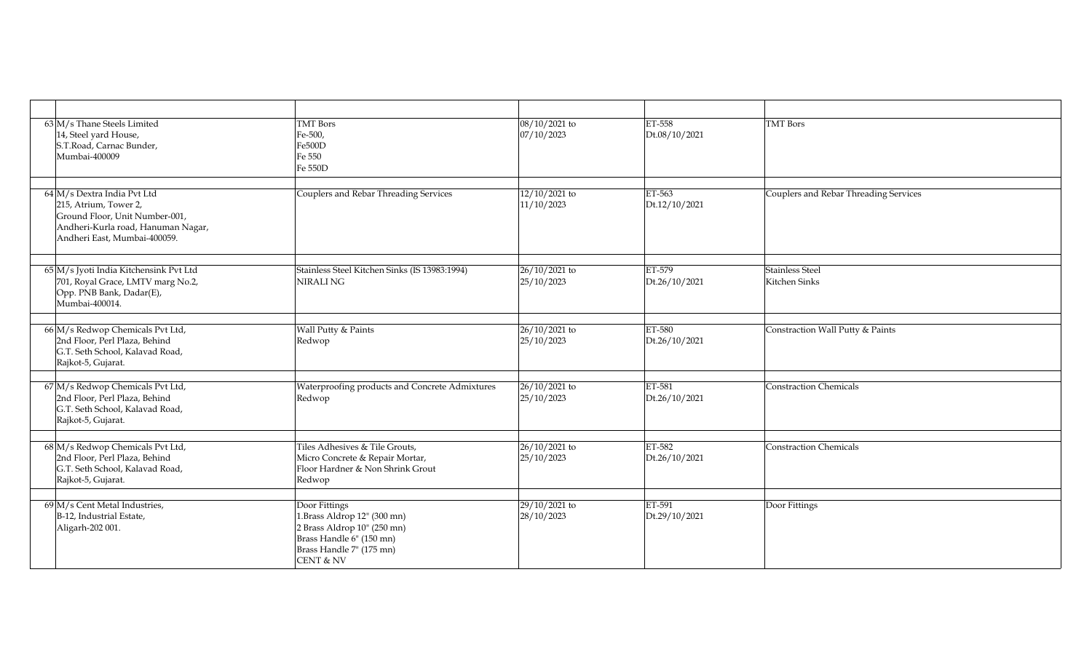| $63$ M/s Thane Steels Limited<br>14, Steel yard House,<br>S.T.Road, Carnac Bunder,<br>Mumbai-400009                                                            | <b>TMT</b> Bors<br>Fe-500,<br>Fe500D<br>Fe 550<br>Fe 550D                                                                                                   | 08/10/2021 to<br>07/10/2023   | ET-558<br>Dt.08/10/2021 | <b>TMT</b> Bors                       |
|----------------------------------------------------------------------------------------------------------------------------------------------------------------|-------------------------------------------------------------------------------------------------------------------------------------------------------------|-------------------------------|-------------------------|---------------------------------------|
| $64$ M/s Dextra India Pvt Ltd<br>215, Atrium, Tower 2,<br>Ground Floor, Unit Number-001,<br>Andheri-Kurla road, Hanuman Nagar,<br>Andheri East, Mumbai-400059. | Couplers and Rebar Threading Services                                                                                                                       | 12/10/2021 to<br>11/10/2023   | ET-563<br>Dt.12/10/2021 | Couplers and Rebar Threading Services |
| 65 M/s Jyoti India Kitchensink Pvt Ltd<br>701, Royal Grace, LMTV marg No.2,<br>Opp. PNB Bank, Dadar(E),<br>Mumbai-400014.                                      | Stainless Steel Kitchen Sinks (IS 13983:1994)<br><b>NIRALING</b>                                                                                            | $26/10/2021$ to<br>25/10/2023 | ET-579<br>Dt.26/10/2021 | Stainless Steel<br>Kitchen Sinks      |
| 66 M/s Redwop Chemicals Pvt Ltd,<br>2nd Floor, Perl Plaza, Behind<br>G.T. Seth School, Kalavad Road,<br>Rajkot-5, Gujarat.                                     | Wall Putty & Paints<br>Redwop                                                                                                                               | 26/10/2021 to<br>25/10/2023   | ET-580<br>Dt.26/10/2021 | Constraction Wall Putty & Paints      |
| 67 M/s Redwop Chemicals Pvt Ltd,<br>2nd Floor, Perl Plaza, Behind<br>G.T. Seth School, Kalavad Road,<br>Rajkot-5, Gujarat.                                     | Waterproofing products and Concrete Admixtures<br>Redwop                                                                                                    | 26/10/2021 to<br>25/10/2023   | ET-581<br>Dt.26/10/2021 | Constraction Chemicals                |
| 68 M/s Redwop Chemicals Pvt Ltd,<br>2nd Floor, Perl Plaza, Behind<br>G.T. Seth School, Kalavad Road,<br>Rajkot-5, Gujarat.                                     | Tiles Adhesives & Tile Grouts,<br>Micro Concrete & Repair Mortar,<br>Floor Hardner & Non Shrink Grout<br>Redwop                                             | $26/10/2021$ to<br>25/10/2023 | ET-582<br>Dt.26/10/2021 | Constraction Chemicals                |
| $69$ M/s Cent Metal Industries,<br>B-12, Industrial Estate,<br>Aligarh-202 001.                                                                                | Door Fittings<br>1.Brass Aldrop 12" (300 mn)<br>2 Brass Aldrop 10" (250 mn)<br>Brass Handle 6" (150 mn)<br>Brass Handle 7" (175 mn)<br><b>CENT &amp; NV</b> | 29/10/2021 to<br>28/10/2023   | ET-591<br>Dt.29/10/2021 | Door Fittings                         |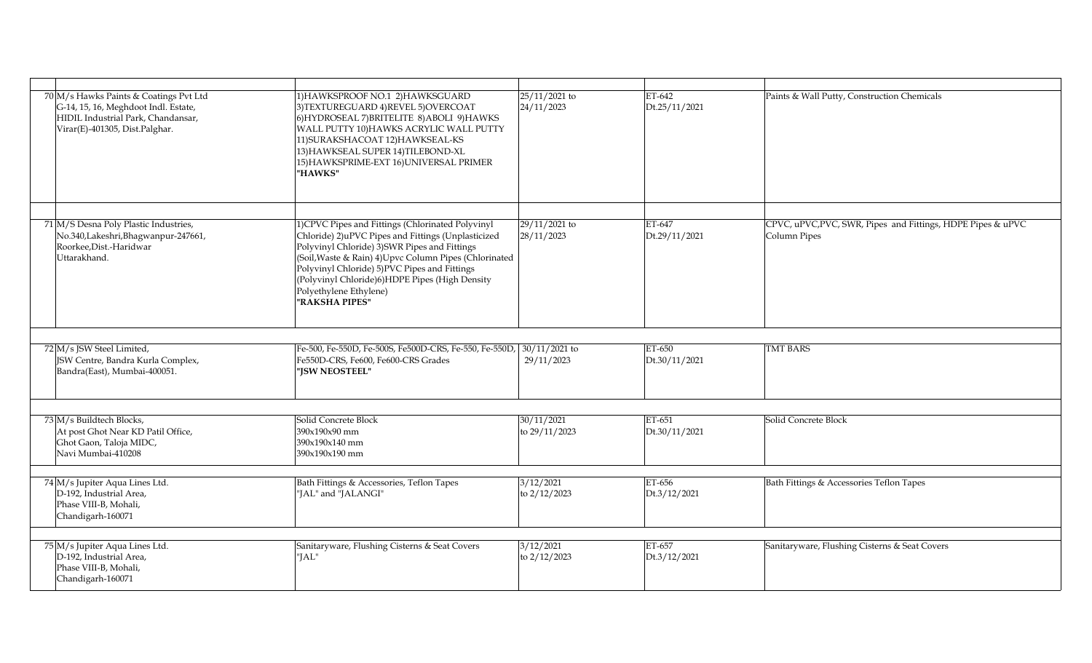| 70 M/s Hawks Paints & Coatings Pvt Ltd<br>G-14, 15, 16, Meghdoot Indl. Estate,<br>HIDIL Industrial Park, Chandansar,<br>Virar(E)-401305, Dist.Palghar. | 1) HAWKSPROOF NO.1 2) HAWKSGUARD<br>3) TEXTUREGUARD 4) REVEL 5) OVERCOAT<br>6) HYDROSEAL 7) BRITELITE 8) ABOLI 9) HAWKS<br>WALL PUTTY 10) HAWKS ACRYLIC WALL PUTTY<br>11) SURAKSHACOAT 12) HAWKSEAL-KS<br>13) HAWKSEAL SUPER 14) TILEBOND-XL<br>15) HAWKSPRIME-EXT 16) UNIVERSAL PRIMER<br>"HAWKS"                                                                | $25/11/2021$ to<br>24/11/2023 | ET-642<br>Dt.25/11/2021 | Paints & Wall Putty, Construction Chemicals                                 |
|--------------------------------------------------------------------------------------------------------------------------------------------------------|-------------------------------------------------------------------------------------------------------------------------------------------------------------------------------------------------------------------------------------------------------------------------------------------------------------------------------------------------------------------|-------------------------------|-------------------------|-----------------------------------------------------------------------------|
|                                                                                                                                                        |                                                                                                                                                                                                                                                                                                                                                                   |                               |                         |                                                                             |
| 71 M/S Desna Poly Plastic Industries,<br>No.340,Lakeshri,Bhagwanpur-247661,<br>Roorkee, Dist.-Haridwar<br>Uttarakhand.                                 | 1) CPVC Pipes and Fittings (Chlorinated Polyvinyl<br>Chloride) 2) uPVC Pipes and Fittings (Unplasticized<br>Polyvinyl Chloride) 3) SWR Pipes and Fittings<br>(Soil, Waste & Rain) 4) Upvc Column Pipes (Chlorinated<br>Polyvinyl Chloride) 5)PVC Pipes and Fittings<br>(Polyvinyl Chloride)6)HDPE Pipes (High Density<br>Polyethylene Ethylene)<br>"RAKSHA PIPES" | 29/11/2021 to<br>28/11/2023   | ET-647<br>Dt.29/11/2021 | CPVC, uPVC, PVC, SWR, Pipes and Fittings, HDPE Pipes & uPVC<br>Column Pipes |
|                                                                                                                                                        |                                                                                                                                                                                                                                                                                                                                                                   |                               |                         |                                                                             |
| 72 M/s JSW Steel Limited,<br>JSW Centre, Bandra Kurla Complex,<br>Bandra(East), Mumbai-400051.                                                         | Fe-500, Fe-550D, Fe-500S, Fe500D-CRS, Fe-550, Fe-550D, 30/11/2021 to<br>Fe550D-CRS, Fe600, Fe600-CRS Grades<br>"ISW NEOSTEEL"                                                                                                                                                                                                                                     | 29/11/2023                    | ET-650<br>Dt.30/11/2021 | <b>TMT BARS</b>                                                             |
|                                                                                                                                                        |                                                                                                                                                                                                                                                                                                                                                                   |                               |                         |                                                                             |
| 73 M/s Buildtech Blocks,<br>At post Ghot Near KD Patil Office,<br>Ghot Gaon, Taloja MIDC,<br>Navi Mumbai-410208                                        | Solid Concrete Block<br>390x190x90 mm<br>390x190x140 mm<br>390x190x190 mm                                                                                                                                                                                                                                                                                         | 30/11/2021<br>to 29/11/2023   | ET-651<br>Dt.30/11/2021 | Solid Concrete Block                                                        |
| 74 M/s Jupiter Aqua Lines Ltd.<br>D-192, Industrial Area,<br>Phase VIII-B, Mohali,<br>Chandigarh-160071                                                | Bath Fittings & Accessories, Teflon Tapes<br>"JAL" and "JALANGI"                                                                                                                                                                                                                                                                                                  | 3/12/2021<br>to 2/12/2023     | ET-656<br>Dt.3/12/2021  | Bath Fittings & Accessories Teflon Tapes                                    |
|                                                                                                                                                        |                                                                                                                                                                                                                                                                                                                                                                   |                               |                         |                                                                             |
| 75 M/s Jupiter Aqua Lines Ltd.<br>D-192, Industrial Area,<br>Phase VIII-B, Mohali,<br>Chandigarh-160071                                                | Sanitaryware, Flushing Cisterns & Seat Covers<br>"JAL"                                                                                                                                                                                                                                                                                                            | 3/12/2021<br>to 2/12/2023     | ET-657<br>Dt.3/12/2021  | Sanitaryware, Flushing Cisterns & Seat Covers                               |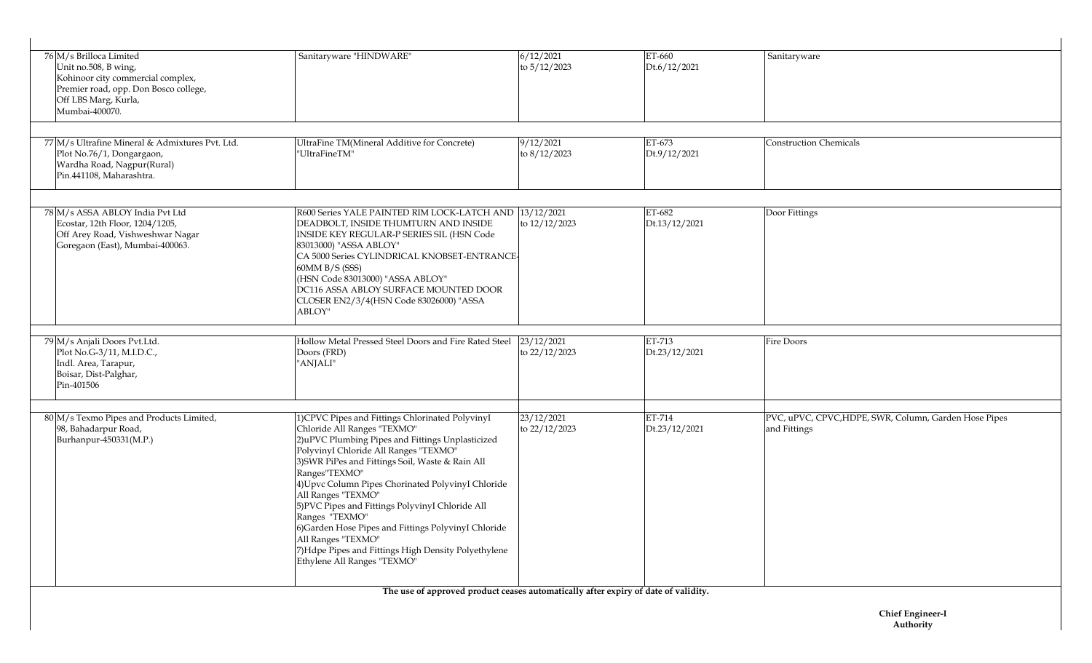| 76 M/s Brilloca Limited<br>Unit no.508, B wing,<br>Kohinoor city commercial complex,<br>Premier road, opp. Don Bosco college,<br>Off LBS Marg, Kurla,<br>Mumbai-400070. | Sanitaryware "HINDWARE"                                                                                                                                                                                                                                                                                                                                                                                                                                                                                                                                                  | 6/12/2021<br>to 5/12/2023   | ET-660<br>Dt.6/12/2021  | Sanitaryware                                                          |
|-------------------------------------------------------------------------------------------------------------------------------------------------------------------------|--------------------------------------------------------------------------------------------------------------------------------------------------------------------------------------------------------------------------------------------------------------------------------------------------------------------------------------------------------------------------------------------------------------------------------------------------------------------------------------------------------------------------------------------------------------------------|-----------------------------|-------------------------|-----------------------------------------------------------------------|
| 77 M/s Ultrafine Mineral & Admixtures Pvt. Ltd.<br>Plot No.76/1, Dongargaon,<br>Wardha Road, Nagpur(Rural)<br>Pin.441108, Maharashtra.                                  | UltraFine TM(Mineral Additive for Concrete)<br>"UltraFineTM"                                                                                                                                                                                                                                                                                                                                                                                                                                                                                                             | 9/12/2021<br>to 8/12/2023   | ET-673<br>Dt.9/12/2021  | <b>Construction Chemicals</b>                                         |
| 78 M/s ASSA ABLOY India Pvt Ltd<br>Ecostar, 12th Floor, 1204/1205,<br>Off Arey Road, Vishweshwar Nagar<br>Goregaon (East), Mumbai-400063.                               | R600 Series YALE PAINTED RIM LOCK-LATCH AND  13/12/2021<br>DEADBOLT, INSIDE THUMTURN AND INSIDE<br>INSIDE KEY REGULAR-P SERIES SIL (HSN Code<br>83013000) "ASSA ABLOY"<br>CA 5000 Series CYLINDRICAL KNOBSET-ENTRANCE-<br>60MM B/S (SSS)<br>(HSN Code 83013000) "ASSA ABLOY"<br>DC116 ASSA ABLOY SURFACE MOUNTED DOOR<br>CLOSER EN2/3/4(HSN Code 83026000) "ASSA<br>ABLOY"                                                                                                                                                                                               | to 12/12/2023               | ET-682<br>Dt.13/12/2021 | Door Fittings                                                         |
| 79 M/s Anjali Doors Pvt.Ltd.<br>Plot No.G-3/11, M.I.D.C.,<br>Indl. Area, Tarapur,<br>Boisar, Dist-Palghar,<br>Pin-401506                                                | Hollow Metal Pressed Steel Doors and Fire Rated Steel<br>Doors (FRD)<br>"ANJALI"                                                                                                                                                                                                                                                                                                                                                                                                                                                                                         | 23/12/2021<br>to 22/12/2023 | ET-713<br>Dt.23/12/2021 | Fire Doors                                                            |
| 80 M/s Texmo Pipes and Products Limited,<br>98, Bahadarpur Road,<br>Burhanpur-450331(M.P.)                                                                              | 1) CPVC Pipes and Fittings Chlorinated PolyvinyI<br>Chloride All Ranges "TEXMO"<br>2)uPVC Plumbing Pipes and Fittings Unplasticized<br>PolyvinyI Chloride All Ranges "TEXMO"<br>3) SWR PiPes and Fittings Soil, Waste & Rain All<br>Ranges"TEXMO"<br>4) Upvc Column Pipes Chorinated PolyvinyI Chloride<br>All Ranges "TEXMO"<br>5) PVC Pipes and Fittings PolyvinyI Chloride All<br>Ranges "TEXMO"<br>6) Garden Hose Pipes and Fittings PolyvinyI Chloride<br>All Ranges "TEXMO"<br>7) Hdpe Pipes and Fittings High Density Polyethylene<br>Ethylene All Ranges "TEXMO" | 23/12/2021<br>to 22/12/2023 | ET-714<br>Dt.23/12/2021 | PVC, uPVC, CPVC, HDPE, SWR, Column, Garden Hose Pipes<br>and Fittings |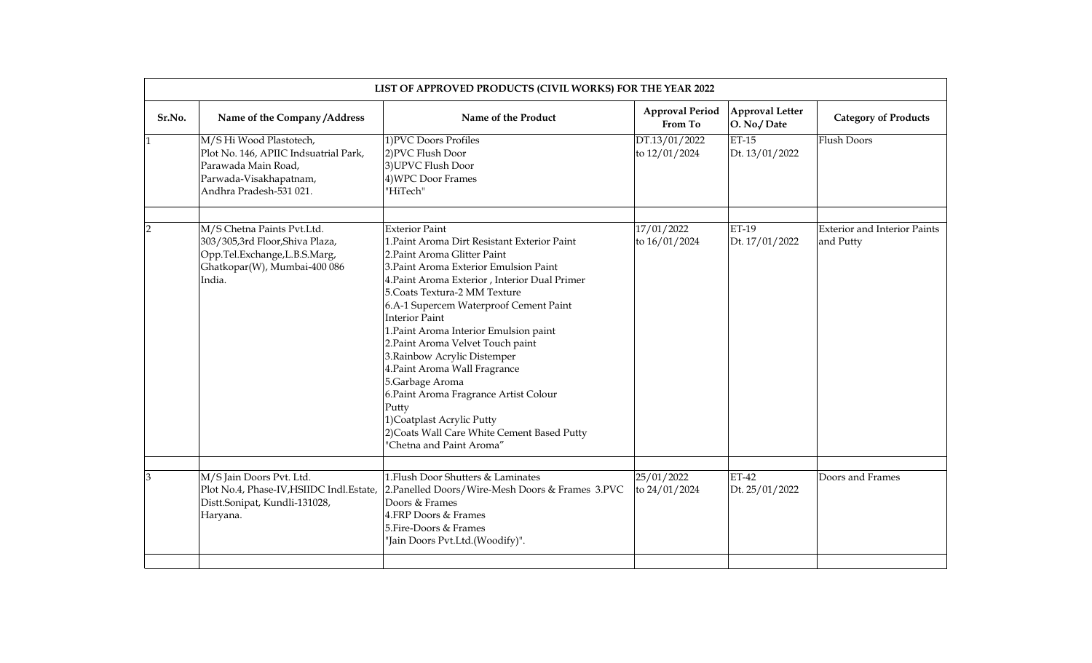|              | LIST OF APPROVED PRODUCTS (CIVIL WORKS) FOR THE YEAR 2022                                                                                    |                                                                                                                                                                                                                                                                                                                                                                                                                                                                                                                                                                                                                                      |                                   |                                       |                                                  |  |  |
|--------------|----------------------------------------------------------------------------------------------------------------------------------------------|--------------------------------------------------------------------------------------------------------------------------------------------------------------------------------------------------------------------------------------------------------------------------------------------------------------------------------------------------------------------------------------------------------------------------------------------------------------------------------------------------------------------------------------------------------------------------------------------------------------------------------------|-----------------------------------|---------------------------------------|--------------------------------------------------|--|--|
| Sr.No.       | Name of the Company/Address                                                                                                                  | Name of the Product                                                                                                                                                                                                                                                                                                                                                                                                                                                                                                                                                                                                                  | <b>Approval Period</b><br>From To | <b>Approval Letter</b><br>O. No./Date | <b>Category of Products</b>                      |  |  |
| $\mathbf{1}$ | M/S Hi Wood Plastotech,<br>Plot No. 146, APIIC Indsuatrial Park,<br>Parawada Main Road,<br>Parwada-Visakhapatnam,<br>Andhra Pradesh-531 021. | 1) PVC Doors Profiles<br>2)PVC Flush Door<br>3) UPVC Flush Door<br>4) WPC Door Frames<br>"HiTech"                                                                                                                                                                                                                                                                                                                                                                                                                                                                                                                                    | DT.13/01/2022<br>to 12/01/2024    | <b>ET-15</b><br>Dt. 13/01/2022        | <b>Flush Doors</b>                               |  |  |
| 2            | M/S Chetna Paints Pvt.Ltd.<br>303/305,3rd Floor,Shiva Plaza,<br>Opp.Tel.Exchange,L.B.S.Marg,<br>Ghatkopar(W), Mumbai-400 086<br>India.       | <b>Exterior Paint</b><br>1. Paint Aroma Dirt Resistant Exterior Paint<br>2. Paint Aroma Glitter Paint<br>3. Paint Aroma Exterior Emulsion Paint<br>4. Paint Aroma Exterior , Interior Dual Primer<br>5. Coats Textura-2 MM Texture<br>6.A-1 Supercem Waterproof Cement Paint<br><b>Interior Paint</b><br>1. Paint Aroma Interior Emulsion paint<br>2. Paint Aroma Velvet Touch paint<br>3. Rainbow Acrylic Distemper<br>4. Paint Aroma Wall Fragrance<br>5.Garbage Aroma<br>6. Paint Aroma Fragrance Artist Colour<br>Putty<br>1) Coatplast Acrylic Putty<br>2) Coats Wall Care White Cement Based Putty<br>'Chetna and Paint Aroma" | 17/01/2022<br>to $16/01/2024$     | ET-19<br>Dt. 17/01/2022               | <b>Exterior and Interior Paints</b><br>and Putty |  |  |
| 3            | M/S Jain Doors Pvt. Ltd.<br>Plot No.4, Phase-IV, HSIIDC Indl. Estate,<br>Distt.Sonipat, Kundli-131028,<br>Haryana.                           | 1. Flush Door Shutters & Laminates<br>2. Panelled Doors/Wire-Mesh Doors & Frames 3. PVC<br>Doors & Frames<br>4.FRP Doors & Frames<br>5. Fire-Doors & Frames<br>"Jain Doors Pvt.Ltd.(Woodify)".                                                                                                                                                                                                                                                                                                                                                                                                                                       | 25/01/2022<br>to 24/01/2024       | $ET-42$<br>Dt. 25/01/2022             | Doors and Frames                                 |  |  |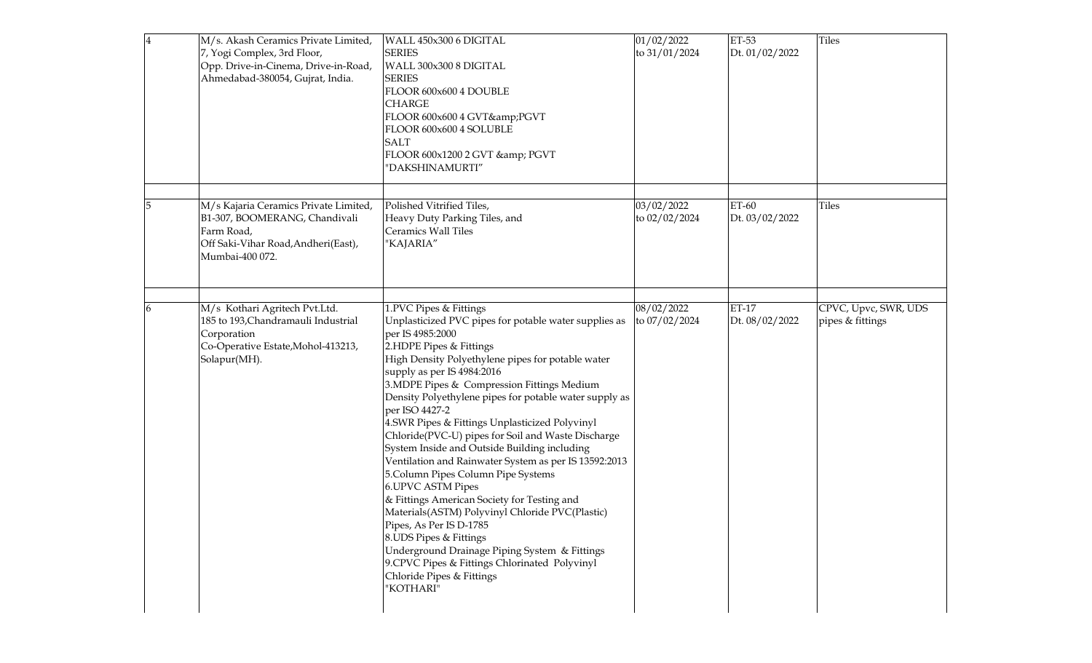| 4 | M/s. Akash Ceramics Private Limited,<br>7, Yogi Complex, 3rd Floor,<br>Opp. Drive-in-Cinema, Drive-in-Road,<br>Ahmedabad-380054, Gujrat, India. | WALL 450x300 6 DIGITAL<br><b>SERIES</b><br>WALL 300x300 8 DIGITAL<br><b>SERIES</b><br>FLOOR 600x600 4 DOUBLE<br><b>CHARGE</b><br>FLOOR 600x600 4 GVT&PGVT<br>FLOOR 600x600 4 SOLUBLE<br><b>SALT</b><br>FLOOR 600x1200 2 GVT & PGVT<br>"DAKSHINAMURTI"                                                                                                                                                                                                                                                                                                                                                                                                                                                                                                                                                                                                                                                                               | 01/02/2022<br>to 31/01/2024 | ET-53<br>Dt. 01/02/2022 | Tiles                                    |
|---|-------------------------------------------------------------------------------------------------------------------------------------------------|-------------------------------------------------------------------------------------------------------------------------------------------------------------------------------------------------------------------------------------------------------------------------------------------------------------------------------------------------------------------------------------------------------------------------------------------------------------------------------------------------------------------------------------------------------------------------------------------------------------------------------------------------------------------------------------------------------------------------------------------------------------------------------------------------------------------------------------------------------------------------------------------------------------------------------------|-----------------------------|-------------------------|------------------------------------------|
|   | M/s Kajaria Ceramics Private Limited,<br>B1-307, BOOMERANG, Chandivali<br>Farm Road,<br>Off Saki-Vihar Road, Andheri(East),<br>Mumbai-400 072.  | Polished Vitrified Tiles,<br>Heavy Duty Parking Tiles, and<br>Ceramics Wall Tiles<br>"KAJARIA"                                                                                                                                                                                                                                                                                                                                                                                                                                                                                                                                                                                                                                                                                                                                                                                                                                      | 03/02/2022<br>to 02/02/2024 | ET-60<br>Dt. 03/02/2022 | Tiles                                    |
|   | M/s Kothari Agritech Pvt.Ltd.<br>185 to 193, Chandramauli Industrial<br>Corporation<br>Co-Operative Estate, Mohol-413213,<br>Solapur(MH).       | 1.PVC Pipes & Fittings<br>Unplasticized PVC pipes for potable water supplies as<br>per IS 4985:2000<br>2.HDPE Pipes & Fittings<br>High Density Polyethylene pipes for potable water<br>supply as per IS 4984:2016<br>3. MDPE Pipes & Compression Fittings Medium<br>Density Polyethylene pipes for potable water supply as<br>per ISO 4427-2<br>4.SWR Pipes & Fittings Unplasticized Polyvinyl<br>Chloride(PVC-U) pipes for Soil and Waste Discharge<br>System Inside and Outside Building including<br>Ventilation and Rainwater System as per IS 13592:2013<br>5. Column Pipes Column Pipe Systems<br><b>6.UPVC ASTM Pipes</b><br>& Fittings American Society for Testing and<br>Materials(ASTM) Polyvinyl Chloride PVC(Plastic)<br>Pipes, As Per IS D-1785<br>8.UDS Pipes & Fittings<br>Underground Drainage Piping System & Fittings<br>9.CPVC Pipes & Fittings Chlorinated Polyvinyl<br>Chloride Pipes & Fittings<br>"KOTHARI" | 08/02/2022<br>to 07/02/2024 | ET-17<br>Dt. 08/02/2022 | CPVC, Upvc, SWR, UDS<br>pipes & fittings |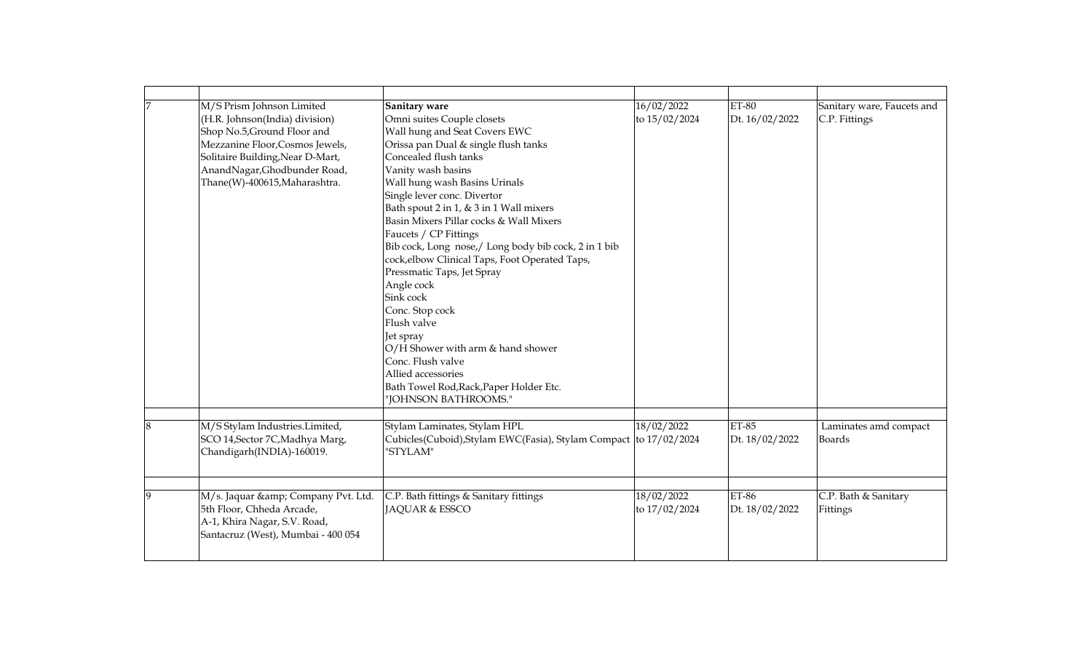| 7 | M/S Prism Johnson Limited<br>(H.R. Johnson(India) division)<br>Shop No.5, Ground Floor and<br>Mezzanine Floor, Cosmos Jewels,<br>Solitaire Building, Near D-Mart,<br>AnandNagar, Ghodbunder Road,<br>Thane(W)-400615, Maharashtra. | Sanitary ware<br>Omni suites Couple closets<br>Wall hung and Seat Covers EWC<br>Orissa pan Dual & single flush tanks<br>Concealed flush tanks<br>Vanity wash basins<br>Wall hung wash Basins Urinals<br>Single lever conc. Divertor<br>Bath spout 2 in 1, & 3 in 1 Wall mixers<br>Basin Mixers Pillar cocks & Wall Mixers<br>Faucets / CP Fittings<br>Bib cock, Long nose,/ Long body bib cock, 2 in 1 bib<br>cock, elbow Clinical Taps, Foot Operated Taps,<br>Pressmatic Taps, Jet Spray<br>Angle cock<br>Sink cock<br>Conc. Stop cock<br>Flush valve<br>Jet spray<br>O/H Shower with arm & hand shower<br>Conc. Flush valve<br>Allied accessories<br>Bath Towel Rod, Rack, Paper Holder Etc.<br>"JOHNSON BATHROOMS." | 16/02/2022<br>to 15/02/2024 | $ET-80$<br>Dt. 16/02/2022      | Sanitary ware, Faucets and<br>C.P. Fittings |
|---|------------------------------------------------------------------------------------------------------------------------------------------------------------------------------------------------------------------------------------|-------------------------------------------------------------------------------------------------------------------------------------------------------------------------------------------------------------------------------------------------------------------------------------------------------------------------------------------------------------------------------------------------------------------------------------------------------------------------------------------------------------------------------------------------------------------------------------------------------------------------------------------------------------------------------------------------------------------------|-----------------------------|--------------------------------|---------------------------------------------|
| 8 | M/S Stylam Industries.Limited,<br>SCO 14, Sector 7C, Madhya Marg,<br>Chandigarh(INDIA)-160019.                                                                                                                                     | Stylam Laminates, Stylam HPL<br>Cubicles(Cuboid), Stylam EWC(Fasia), Stylam Compact to 17/02/2024<br>"STYLAM"                                                                                                                                                                                                                                                                                                                                                                                                                                                                                                                                                                                                           | 18/02/2022                  | $ET-85$<br>Dt. 18/02/2022      | Laminates amd compact<br><b>Boards</b>      |
| 9 | M/s. Jaquar & Company Pvt. Ltd.<br>5th Floor, Chheda Arcade,<br>A-1, Khira Nagar, S.V. Road,<br>Santacruz (West), Mumbai - 400 054                                                                                                 | C.P. Bath fittings & Sanitary fittings<br>JAQUAR & ESSCO                                                                                                                                                                                                                                                                                                                                                                                                                                                                                                                                                                                                                                                                | 18/02/2022<br>to 17/02/2024 | <b>ET-86</b><br>Dt. 18/02/2022 | C.P. Bath & Sanitary<br>Fittings            |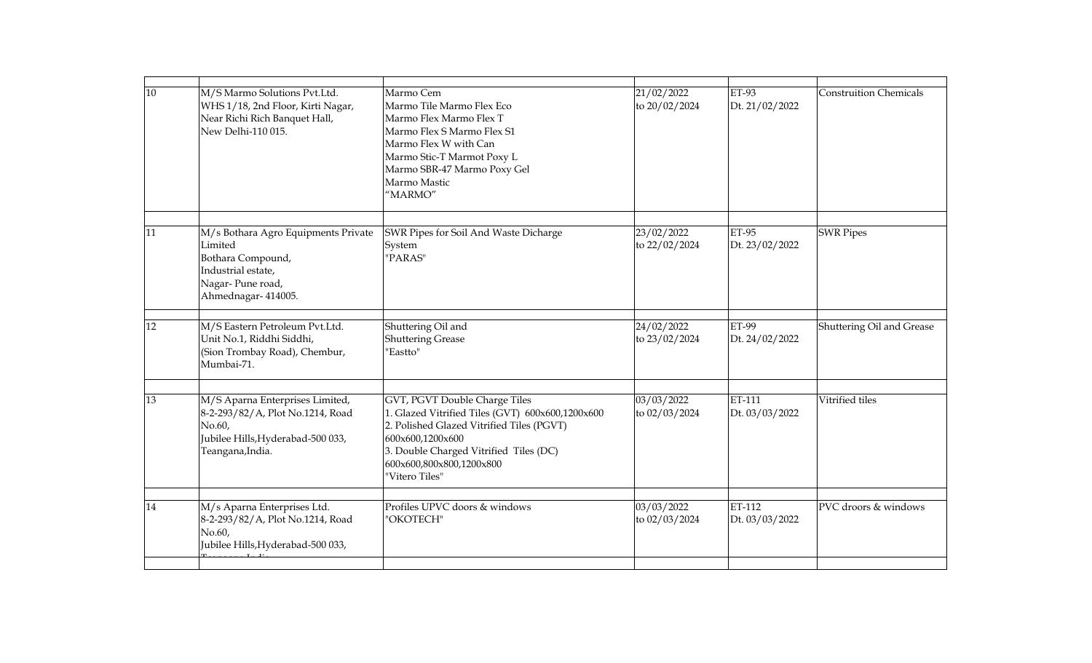| 10 | M/S Marmo Solutions Pvt.Ltd.<br>WHS 1/18, 2nd Floor, Kirti Nagar,<br>Near Richi Rich Banquet Hall,<br>New Delhi-110 015.               | Marmo Cem<br>Marmo Tile Marmo Flex Eco<br>Marmo Flex Marmo Flex T<br>Marmo Flex S Marmo Flex S1<br>Marmo Flex W with Can<br>Marmo Stic-T Marmot Poxy L<br>Marmo SBR-47 Marmo Poxy Gel<br>Marmo Mastic<br>"MARMO"                           | 21/02/2022<br>to 20/02/2024 | <b>ET-93</b><br>Dt. 21/02/2022 | <b>Construition Chemicals</b> |
|----|----------------------------------------------------------------------------------------------------------------------------------------|--------------------------------------------------------------------------------------------------------------------------------------------------------------------------------------------------------------------------------------------|-----------------------------|--------------------------------|-------------------------------|
|    |                                                                                                                                        |                                                                                                                                                                                                                                            |                             |                                |                               |
| 11 | M/s Bothara Agro Equipments Private<br>Limited<br>Bothara Compound,<br>Industrial estate,<br>Nagar-Pune road,<br>Ahmednagar- 414005.   | SWR Pipes for Soil And Waste Dicharge<br>System<br>"PARAS"                                                                                                                                                                                 | 23/02/2022<br>to 22/02/2024 | <b>ET-95</b><br>Dt. 23/02/2022 | <b>SWR Pipes</b>              |
| 12 | M/S Eastern Petroleum Pvt.Ltd.                                                                                                         | Shuttering Oil and                                                                                                                                                                                                                         | 24/02/2022                  | <b>ET-99</b>                   | Shuttering Oil and Grease     |
|    | Unit No.1, Riddhi Siddhi,<br>(Sion Trombay Road), Chembur,<br>Mumbai-71.                                                               | <b>Shuttering Grease</b><br>"Eastto"                                                                                                                                                                                                       | to 23/02/2024               | Dt. 24/02/2022                 |                               |
|    |                                                                                                                                        |                                                                                                                                                                                                                                            |                             |                                |                               |
| 13 | M/S Aparna Enterprises Limited,<br>8-2-293/82/A, Plot No.1214, Road<br>No.60,<br>Jubilee Hills, Hyderabad-500 033,<br>Teangana, India. | GVT, PGVT Double Charge Tiles<br>1. Glazed Vitrified Tiles (GVT) 600x600,1200x600<br>2. Polished Glazed Vitrified Tiles (PGVT)<br>600x600,1200x600<br>3. Double Charged Vitrified Tiles (DC)<br>600x600,800x800,1200x800<br>"Vitero Tiles" | 03/03/2022<br>to 02/03/2024 | ET-111<br>Dt. 03/03/2022       | Vitrified tiles               |
|    |                                                                                                                                        |                                                                                                                                                                                                                                            |                             |                                |                               |
| 14 | M/s Aparna Enterprises Ltd.<br>8-2-293/82/A, Plot No.1214, Road<br>No.60,<br>Jubilee Hills, Hyderabad-500 033,                         | Profiles UPVC doors & windows<br>"OKOTECH"                                                                                                                                                                                                 | 03/03/2022<br>to 02/03/2024 | ET-112<br>Dt. 03/03/2022       | PVC droors & windows          |
|    |                                                                                                                                        |                                                                                                                                                                                                                                            |                             |                                |                               |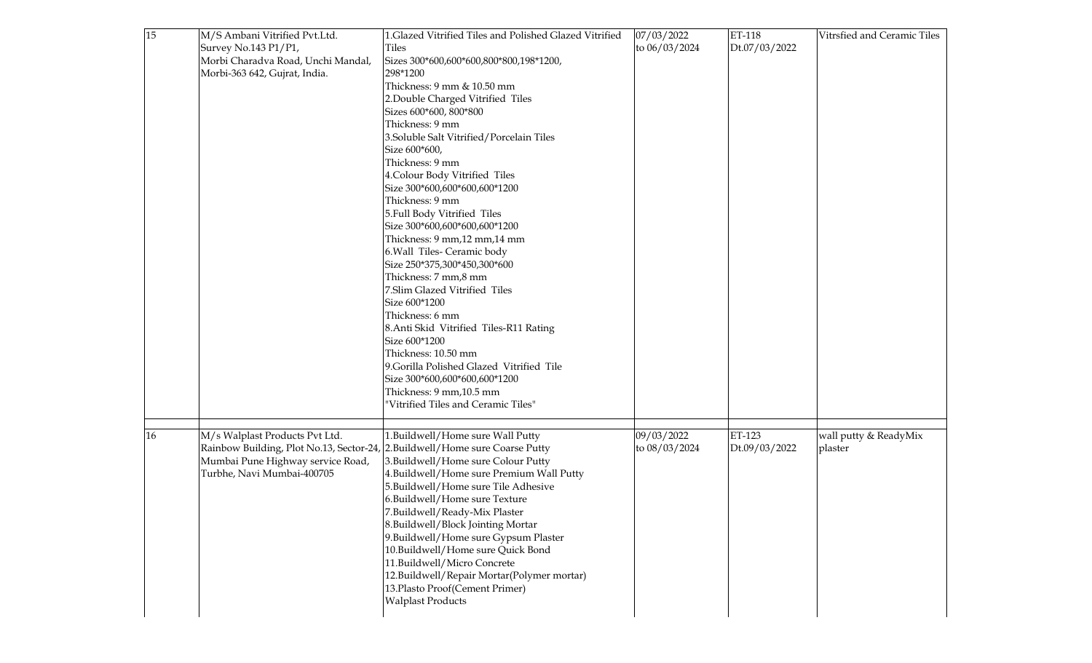| 15 | M/S Ambani Vitrified Pvt.Ltd.                                                | 1.Glazed Vitrified Tiles and Polished Glazed Vitrified | 07/03/2022    | ET-118        | Vitrsfied and Ceramic Tiles |
|----|------------------------------------------------------------------------------|--------------------------------------------------------|---------------|---------------|-----------------------------|
|    | Survey No.143 P1/P1,                                                         | Tiles                                                  | to 06/03/2024 | Dt.07/03/2022 |                             |
|    | Morbi Charadva Road, Unchi Mandal,                                           | Sizes 300*600,600*600,800*800,198*1200,                |               |               |                             |
|    | Morbi-363 642, Gujrat, India.                                                | 298*1200                                               |               |               |                             |
|    |                                                                              | Thickness: 9 mm & 10.50 mm                             |               |               |                             |
|    |                                                                              | 2. Double Charged Vitrified Tiles                      |               |               |                             |
|    |                                                                              | Sizes 600*600, 800*800                                 |               |               |                             |
|    |                                                                              | Thickness: 9 mm                                        |               |               |                             |
|    |                                                                              | 3.Soluble Salt Vitrified/Porcelain Tiles               |               |               |                             |
|    |                                                                              | Size 600*600,                                          |               |               |                             |
|    |                                                                              | Thickness: 9 mm                                        |               |               |                             |
|    |                                                                              | 4. Colour Body Vitrified Tiles                         |               |               |                             |
|    |                                                                              | Size 300*600,600*600,600*1200                          |               |               |                             |
|    |                                                                              | Thickness: 9 mm                                        |               |               |                             |
|    |                                                                              | 5. Full Body Vitrified Tiles                           |               |               |                             |
|    |                                                                              | Size 300*600,600*600,600*1200                          |               |               |                             |
|    |                                                                              | Thickness: 9 mm, 12 mm, 14 mm                          |               |               |                             |
|    |                                                                              | 6. Wall Tiles- Ceramic body                            |               |               |                             |
|    |                                                                              | Size 250*375,300*450,300*600                           |               |               |                             |
|    |                                                                              | Thickness: 7 mm,8 mm                                   |               |               |                             |
|    |                                                                              | 7.Slim Glazed Vitrified Tiles                          |               |               |                             |
|    |                                                                              | Size 600*1200                                          |               |               |                             |
|    |                                                                              | Thickness: 6 mm                                        |               |               |                             |
|    |                                                                              | 8. Anti Skid Vitrified Tiles-R11 Rating                |               |               |                             |
|    |                                                                              | Size 600*1200                                          |               |               |                             |
|    |                                                                              | Thickness: 10.50 mm                                    |               |               |                             |
|    |                                                                              | 9. Gorilla Polished Glazed Vitrified Tile              |               |               |                             |
|    |                                                                              | Size 300*600,600*600,600*1200                          |               |               |                             |
|    |                                                                              | Thickness: 9 mm, 10.5 mm                               |               |               |                             |
|    |                                                                              | "Vitrified Tiles and Ceramic Tiles"                    |               |               |                             |
|    |                                                                              |                                                        |               |               |                             |
| 16 | M/s Walplast Products Pvt Ltd.                                               | 1. Buildwell/Home sure Wall Putty                      | 09/03/2022    | ET-123        | wall putty & ReadyMix       |
|    | Rainbow Building, Plot No.13, Sector-24, 2. Buildwell/Home sure Coarse Putty |                                                        | to 08/03/2024 | Dt.09/03/2022 | plaster                     |
|    | Mumbai Pune Highway service Road,                                            | 3. Buildwell/Home sure Colour Putty                    |               |               |                             |
|    | Turbhe, Navi Mumbai-400705                                                   | 4. Buildwell/Home sure Premium Wall Putty              |               |               |                             |
|    |                                                                              | 5. Buildwell/Home sure Tile Adhesive                   |               |               |                             |
|    |                                                                              | 6.Buildwell/Home sure Texture                          |               |               |                             |
|    |                                                                              | 7.Buildwell/Ready-Mix Plaster                          |               |               |                             |
|    |                                                                              | 8.Buildwell/Block Jointing Mortar                      |               |               |                             |
|    |                                                                              | 9. Buildwell/Home sure Gypsum Plaster                  |               |               |                             |
|    |                                                                              | 10. Buildwell/Home sure Quick Bond                     |               |               |                             |
|    |                                                                              | 11.Buildwell/Micro Concrete                            |               |               |                             |
|    |                                                                              | 12. Buildwell/Repair Mortar (Polymer mortar)           |               |               |                             |
|    |                                                                              | 13. Plasto Proof(Cement Primer)                        |               |               |                             |
|    |                                                                              | <b>Walplast Products</b>                               |               |               |                             |
|    |                                                                              |                                                        |               |               |                             |
|    |                                                                              |                                                        |               |               |                             |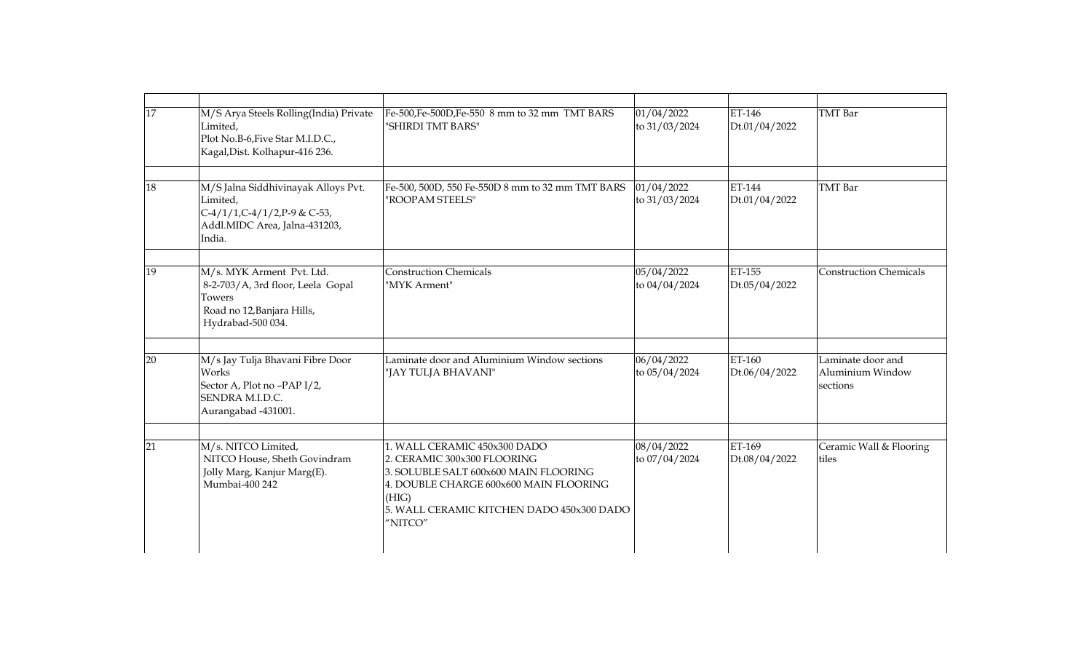| 17 | M/S Arya Steels Rolling(India) Private<br>Limited,<br>Plot No.B-6, Five Star M.I.D.C.,<br>Kagal, Dist. Kolhapur-416 236.    | Fe-500, Fe-500D, Fe-550 8 mm to 32 mm TMT BARS<br>"SHIRDI TMT BARS"                                                                                                                                             | 01/04/2022<br>to 31/03/2024 | ET-146<br>Dt.01/04/2022 | <b>TMT</b> Bar                                    |
|----|-----------------------------------------------------------------------------------------------------------------------------|-----------------------------------------------------------------------------------------------------------------------------------------------------------------------------------------------------------------|-----------------------------|-------------------------|---------------------------------------------------|
| 18 | M/S Jalna Siddhivinayak Alloys Pvt.<br>Limited,<br>C-4/1/1,C-4/1/2,P-9 & C-53,<br>Addl.MIDC Area, Jalna-431203,<br>India.   | Fe-500, 500D, 550 Fe-550D 8 mm to 32 mm TMT BARS<br>"ROOPAM STEELS"                                                                                                                                             | 01/04/2022<br>to 31/03/2024 | ET-144<br>Dt.01/04/2022 | TMT Bar                                           |
| 19 | M/s. MYK Arment Pvt. Ltd.<br>8-2-703/A, 3rd floor, Leela Gopal<br>Towers<br>Road no 12, Banjara Hills,<br>Hydrabad-500 034. | <b>Construction Chemicals</b><br>"MYK Arment"                                                                                                                                                                   | 05/04/2022<br>to 04/04/2024 | ET-155<br>Dt.05/04/2022 | <b>Construction Chemicals</b>                     |
| 20 | M/s Jay Tulja Bhavani Fibre Door<br>Works<br>Sector A, Plot no -PAP I/2,<br>SENDRA M.I.D.C.<br>Aurangabad -431001.          | Laminate door and Aluminium Window sections<br>"JAY TULJA BHAVANI"                                                                                                                                              | 06/04/2022<br>to 05/04/2024 | ET-160<br>Dt.06/04/2022 | Laminate door and<br>Aluminium Window<br>sections |
| 21 | M/s. NITCO Limited,<br>NITCO House, Sheth Govindram<br>Jolly Marg, Kanjur Marg(E).<br>Mumbai-400 242                        | 1. WALL CERAMIC 450x300 DADO<br>2. CERAMIC 300x300 FLOORING<br>3. SOLUBLE SALT 600x600 MAIN FLOORING<br>4. DOUBLE CHARGE 600x600 MAIN FLOORING<br>(HIG)<br>5. WALL CERAMIC KITCHEN DADO 450x300 DADO<br>"NITCO" | 08/04/2022<br>to 07/04/2024 | ET-169<br>Dt.08/04/2022 | Ceramic Wall & Flooring<br>tiles                  |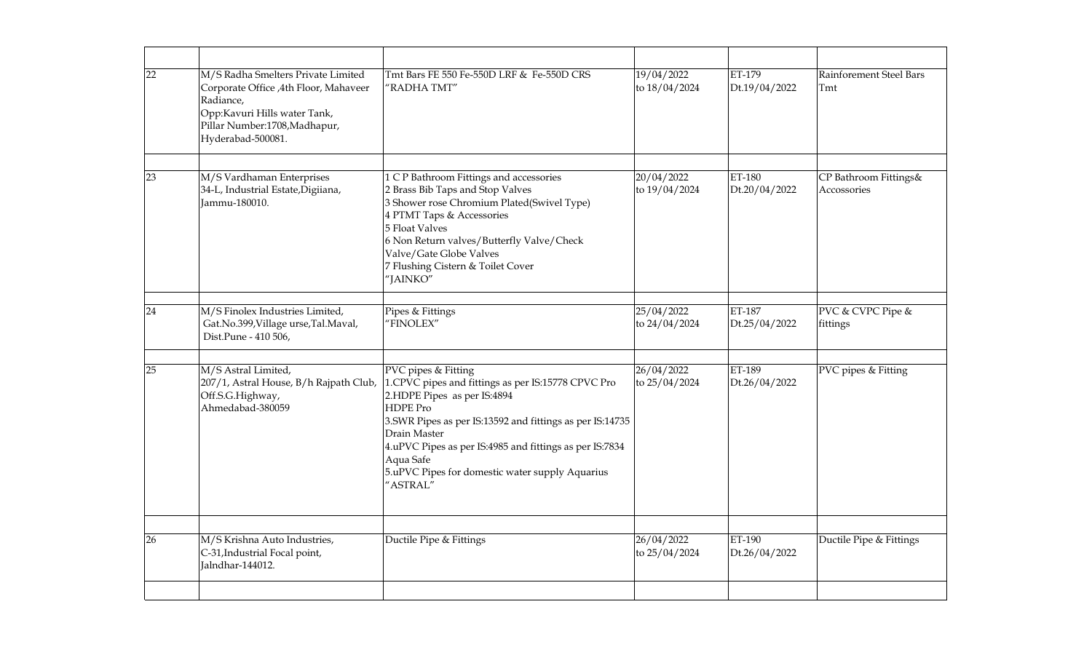| 22 | M/S Radha Smelters Private Limited<br>Corporate Office , 4th Floor, Mahaveer<br>Radiance,<br>Opp:Kavuri Hills water Tank,<br>Pillar Number:1708, Madhapur,<br>Hyderabad-500081. | Tmt Bars FE 550 Fe-550D LRF & Fe-550D CRS<br>"RADHA TMT"                                                                                                                                                                                                                                                                                        | 19/04/2022<br>to 18/04/2024 | ET-179<br>Dt.19/04/2022 | Rainforement Steel Bars<br>Tmt       |
|----|---------------------------------------------------------------------------------------------------------------------------------------------------------------------------------|-------------------------------------------------------------------------------------------------------------------------------------------------------------------------------------------------------------------------------------------------------------------------------------------------------------------------------------------------|-----------------------------|-------------------------|--------------------------------------|
| 23 | M/S Vardhaman Enterprises<br>34-L, Industrial Estate, Digiiana,<br>Jammu-180010.                                                                                                | 1 C P Bathroom Fittings and accessories<br>2 Brass Bib Taps and Stop Valves<br>3 Shower rose Chromium Plated(Swivel Type)<br>4 PTMT Taps & Accessories<br>5 Float Valves<br>6 Non Return valves/Butterfly Valve/Check<br>Valve/Gate Globe Valves<br>7 Flushing Cistern & Toilet Cover<br>'JAINKO"                                               | 20/04/2022<br>to 19/04/2024 | ET-180<br>Dt.20/04/2022 | CP Bathroom Fittings&<br>Accossories |
|    |                                                                                                                                                                                 |                                                                                                                                                                                                                                                                                                                                                 |                             |                         |                                      |
| 24 | M/S Finolex Industries Limited,<br>Gat.No.399, Village urse, Tal.Maval,<br>Dist.Pune - 410 506,                                                                                 | Pipes & Fittings<br>"FINOLEX"                                                                                                                                                                                                                                                                                                                   | 25/04/2022<br>to 24/04/2024 | ET-187<br>Dt.25/04/2022 | PVC & CVPC Pipe &<br>fittings        |
| 25 | M/S Astral Limited,<br>207/1, Astral House, B/h Rajpath Club,<br>Off.S.G.Highway,<br>Ahmedabad-380059                                                                           | PVC pipes & Fitting<br>1.CPVC pipes and fittings as per IS:15778 CPVC Pro<br>2.HDPE Pipes as per IS:4894<br><b>HDPE Pro</b><br>3. SWR Pipes as per IS:13592 and fittings as per IS:14735<br>Drain Master<br>4.uPVC Pipes as per IS:4985 and fittings as per IS:7834<br>Aqua Safe<br>5.uPVC Pipes for domestic water supply Aquarius<br>"ASTRAL" | 26/04/2022<br>to 25/04/2024 | ET-189<br>Dt.26/04/2022 | PVC pipes & Fitting                  |
|    |                                                                                                                                                                                 |                                                                                                                                                                                                                                                                                                                                                 |                             |                         |                                      |
| 26 | M/S Krishna Auto Industries,<br>C-31, Industrial Focal point,<br>Jalndhar-144012.                                                                                               | Ductile Pipe & Fittings                                                                                                                                                                                                                                                                                                                         | 26/04/2022<br>to 25/04/2024 | ET-190<br>Dt.26/04/2022 | Ductile Pipe & Fittings              |
|    |                                                                                                                                                                                 |                                                                                                                                                                                                                                                                                                                                                 |                             |                         |                                      |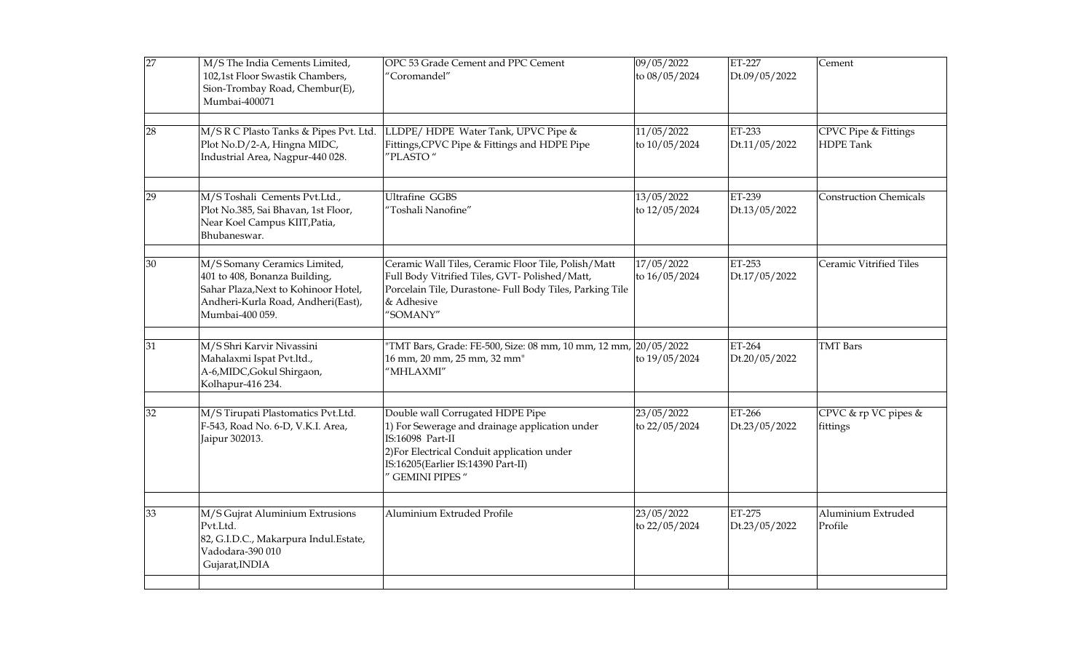| 27 | M/S The India Cements Limited,<br>102,1st Floor Swastik Chambers,<br>Sion-Trombay Road, Chembur(E),<br>Mumbai-400071                                           | OPC 53 Grade Cement and PPC Cement<br>'Coromandel"                                                                                                                                                                   | 09/05/2022<br>to 08/05/2024   | ET-227<br>Dt.09/05/2022 | Cement                                   |
|----|----------------------------------------------------------------------------------------------------------------------------------------------------------------|----------------------------------------------------------------------------------------------------------------------------------------------------------------------------------------------------------------------|-------------------------------|-------------------------|------------------------------------------|
| 28 | M/S R C Plasto Tanks & Pipes Pvt. Ltd.<br>Plot No.D/2-A, Hingna MIDC,<br>Industrial Area, Nagpur-440 028.                                                      | LLDPE/HDPE Water Tank, UPVC Pipe &<br>Fittings, CPVC Pipe & Fittings and HDPE Pipe<br>'PLASTO"                                                                                                                       | 11/05/2022<br>to 10/05/2024   | ET-233<br>Dt.11/05/2022 | CPVC Pipe & Fittings<br><b>HDPE</b> Tank |
| 29 | M/S Toshali Cements Pvt.Ltd.,<br>Plot No.385, Sai Bhavan, 1st Floor,<br>Near Koel Campus KIIT, Patia,<br>Bhubaneswar.                                          | <b>Ultrafine GGBS</b><br>'Toshali Nanofine"                                                                                                                                                                          | 13/05/2022<br>to 12/05/2024   | ET-239<br>Dt.13/05/2022 | <b>Construction Chemicals</b>            |
| 30 | M/S Somany Ceramics Limited,<br>401 to 408, Bonanza Building,<br>Sahar Plaza, Next to Kohinoor Hotel,<br>Andheri-Kurla Road, Andheri(East),<br>Mumbai-400 059. | Ceramic Wall Tiles, Ceramic Floor Tile, Polish/Matt<br>Full Body Vitrified Tiles, GVT- Polished/Matt,<br>Porcelain Tile, Durastone- Full Body Tiles, Parking Tile<br>& Adhesive<br>'SOMANY"                          | 17/05/2022<br>to $16/05/2024$ | ET-253<br>Dt.17/05/2022 | Ceramic Vitrified Tiles                  |
| 31 | M/S Shri Karvir Nivassini<br>Mahalaxmi Ispat Pvt.ltd.,<br>A-6, MIDC, Gokul Shirgaon,<br>Kolhapur-416 234.                                                      | TMT Bars, Grade: FE-500, Size: 08 mm, 10 mm, 12 mm, 20/05/2022<br>16 mm, 20 mm, 25 mm, 32 mm"<br>'MHLAXMI"                                                                                                           | to 19/05/2024                 | ET-264<br>Dt.20/05/2022 | <b>TMT</b> Bars                          |
| 32 | M/S Tirupati Plastomatics Pvt.Ltd.<br>F-543, Road No. 6-D, V.K.I. Area,<br>Jaipur 302013.                                                                      | Double wall Corrugated HDPE Pipe<br>1) For Sewerage and drainage application under<br>IS:16098 Part-II<br>2) For Electrical Conduit application under<br>IS:16205(Earlier IS:14390 Part-II)<br><b>GEMINI PIPES</b> " | 23/05/2022<br>to 22/05/2024   | ET-266<br>Dt.23/05/2022 | CPVC & rp VC pipes &<br>fittings         |
| 33 | M/S Gujrat Aluminium Extrusions<br>Pvt.Ltd.<br>82, G.I.D.C., Makarpura Indul.Estate,<br>Vadodara-390 010<br>Gujarat, INDIA                                     | Aluminium Extruded Profile                                                                                                                                                                                           | 23/05/2022<br>to 22/05/2024   | ET-275<br>Dt.23/05/2022 | Aluminium Extruded<br>Profile            |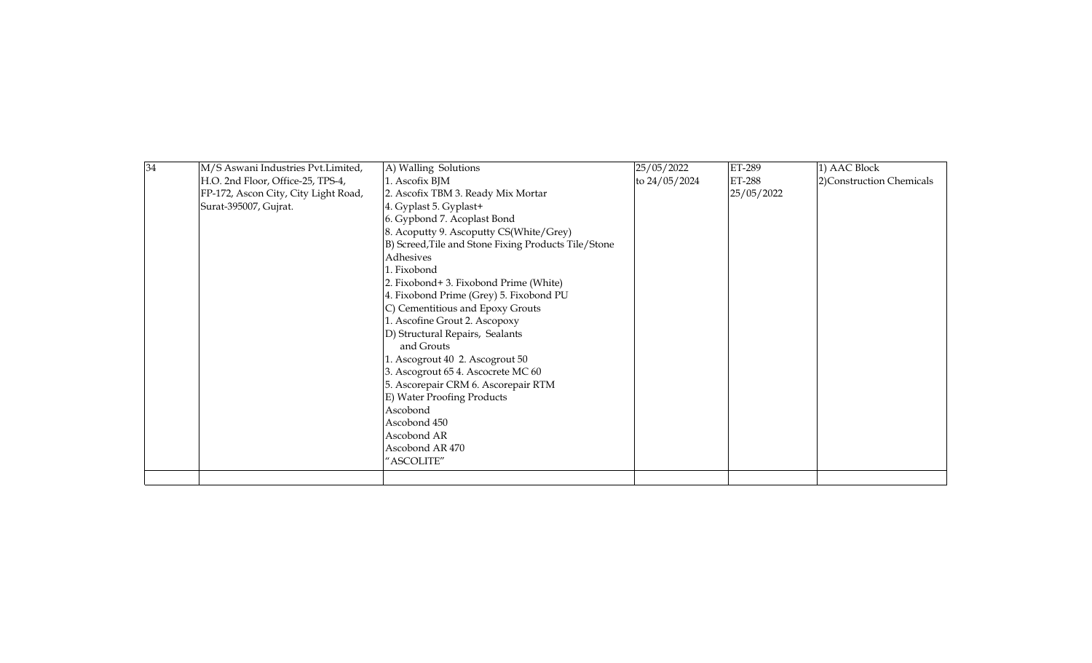| 34 | M/S Aswani Industries Pvt.Limited,   | A) Walling Solutions                                 | 25/05/2022    | ET-289     | 1) AAC Block              |
|----|--------------------------------------|------------------------------------------------------|---------------|------------|---------------------------|
|    | H.O. 2nd Floor, Office-25, TPS-4,    | 1. Ascofix BJM                                       | to 24/05/2024 | ET-288     | 2) Construction Chemicals |
|    | FP-172, Ascon City, City Light Road, | 2. Ascofix TBM 3. Ready Mix Mortar                   |               | 25/05/2022 |                           |
|    | Surat-395007, Gujrat.                | 4. Gyplast 5. Gyplast+                               |               |            |                           |
|    |                                      | 6. Gypbond 7. Acoplast Bond                          |               |            |                           |
|    |                                      | 8. Acoputty 9. Ascoputty CS(White/Grey)              |               |            |                           |
|    |                                      | B) Screed, Tile and Stone Fixing Products Tile/Stone |               |            |                           |
|    |                                      | Adhesives                                            |               |            |                           |
|    |                                      | 1. Fixobond                                          |               |            |                           |
|    |                                      | 2. Fixobond+3. Fixobond Prime (White)                |               |            |                           |
|    |                                      | 4. Fixobond Prime (Grey) 5. Fixobond PU              |               |            |                           |
|    |                                      | C) Cementitious and Epoxy Grouts                     |               |            |                           |
|    |                                      | 1. Ascofine Grout 2. Ascopoxy                        |               |            |                           |
|    |                                      | D) Structural Repairs, Sealants                      |               |            |                           |
|    |                                      | and Grouts                                           |               |            |                           |
|    |                                      | . Ascogrout 40 2. Ascogrout 50                       |               |            |                           |
|    |                                      | 3. Ascogrout 65 4. Ascocrete MC 60                   |               |            |                           |
|    |                                      | 5. Ascorepair CRM 6. Ascorepair RTM                  |               |            |                           |
|    |                                      | E) Water Proofing Products                           |               |            |                           |
|    |                                      | Ascobond                                             |               |            |                           |
|    |                                      | Ascobond 450                                         |               |            |                           |
|    |                                      | Ascobond AR                                          |               |            |                           |
|    |                                      | Ascobond AR 470                                      |               |            |                           |
|    |                                      | "ASCOLITE"                                           |               |            |                           |
|    |                                      |                                                      |               |            |                           |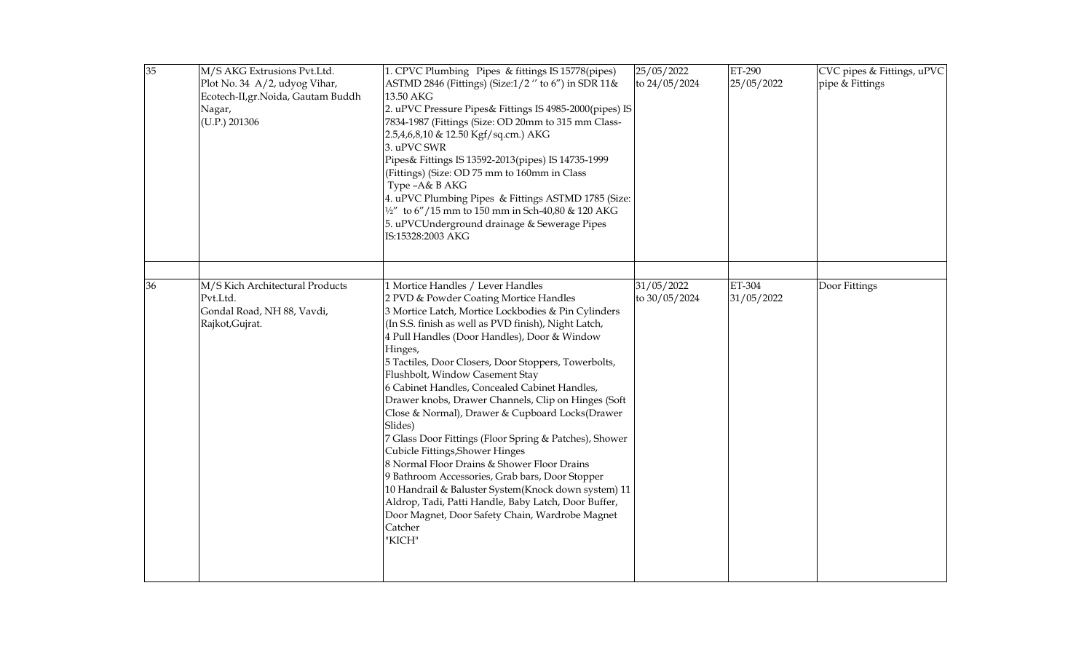| 35 | M/S AKG Extrusions Pvt.Ltd.<br>Plot No. 34 A/2, udyog Vihar,<br>Ecotech-II, gr. Noida, Gautam Buddh<br>Nagar,<br>(U.P.) 201306 | 1. CPVC Plumbing Pipes & fittings IS 15778(pipes)<br>ASTMD 2846 (Fittings) (Size:1/2" to 6") in SDR 11&<br>13.50 AKG<br>2. uPVC Pressure Pipes& Fittings IS 4985-2000(pipes) IS<br>7834-1987 (Fittings (Size: OD 20mm to 315 mm Class-<br>2.5,4,6,8,10 & 12.50 Kgf/sq.cm.) AKG<br>3. uPVC SWR<br>Pipes& Fittings IS 13592-2013(pipes) IS 14735-1999<br>(Fittings) (Size: OD 75 mm to 160mm in Class<br>Type -A& B AKG<br>4. uPVC Plumbing Pipes & Fittings ASTMD 1785 (Size:<br>1/2" to 6"/15 mm to 150 mm in Sch-40,80 & 120 AKG<br>5. uPVCUnderground drainage & Sewerage Pipes<br>IS:15328:2003 AKG                                                                                                                                                                                                                                                                                                       | 25/05/2022<br>to 24/05/2024 | ET-290<br>25/05/2022 | CVC pipes & Fittings, uPVC<br>pipe & Fittings |
|----|--------------------------------------------------------------------------------------------------------------------------------|--------------------------------------------------------------------------------------------------------------------------------------------------------------------------------------------------------------------------------------------------------------------------------------------------------------------------------------------------------------------------------------------------------------------------------------------------------------------------------------------------------------------------------------------------------------------------------------------------------------------------------------------------------------------------------------------------------------------------------------------------------------------------------------------------------------------------------------------------------------------------------------------------------------|-----------------------------|----------------------|-----------------------------------------------|
| 36 | M/S Kich Architectural Products<br>Pvt.Ltd.<br>Gondal Road, NH 88, Vavdi,<br>Rajkot, Gujrat.                                   | 1 Mortice Handles / Lever Handles<br>2 PVD & Powder Coating Mortice Handles<br>3 Mortice Latch, Mortice Lockbodies & Pin Cylinders<br>(In S.S. finish as well as PVD finish), Night Latch,<br>4 Pull Handles (Door Handles), Door & Window<br>Hinges,<br>5 Tactiles, Door Closers, Door Stoppers, Towerbolts,<br>Flushbolt, Window Casement Stay<br>6 Cabinet Handles, Concealed Cabinet Handles,<br>Drawer knobs, Drawer Channels, Clip on Hinges (Soft<br>Close & Normal), Drawer & Cupboard Locks(Drawer<br>Slides)<br>7 Glass Door Fittings (Floor Spring & Patches), Shower<br>Cubicle Fittings, Shower Hinges<br>8 Normal Floor Drains & Shower Floor Drains<br>9 Bathroom Accessories, Grab bars, Door Stopper<br>10 Handrail & Baluster System(Knock down system) 11<br>Aldrop, Tadi, Patti Handle, Baby Latch, Door Buffer,<br>Door Magnet, Door Safety Chain, Wardrobe Magnet<br>Catcher<br>"KICH" | 31/05/2022<br>to 30/05/2024 | ET-304<br>31/05/2022 | Door Fittings                                 |